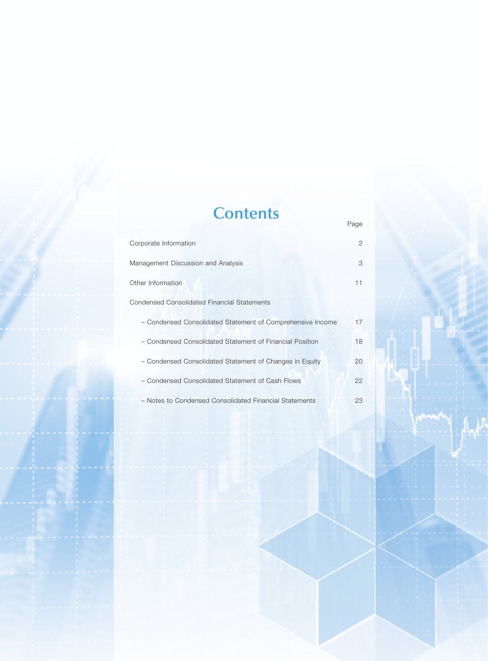# **Contents**

Page

| Corporate Information                                      | 2  |
|------------------------------------------------------------|----|
| Management Discussion and Analysis                         | 3  |
| Other Information                                          | 11 |
| <b>Condensed Consolidated Financial Statements</b>         |    |
| - Condensed Consolidated Statement of Comprehensive Income | 17 |
| - Condensed Consolidated Statement of Financial Position   | 18 |
| - Condensed Consolidated Statement of Changes in Equity    | 20 |
| - Condensed Consolidated Statement of Cash Flows           | 22 |
| - Notes to Condensed Consolidated Financial Statements     | 23 |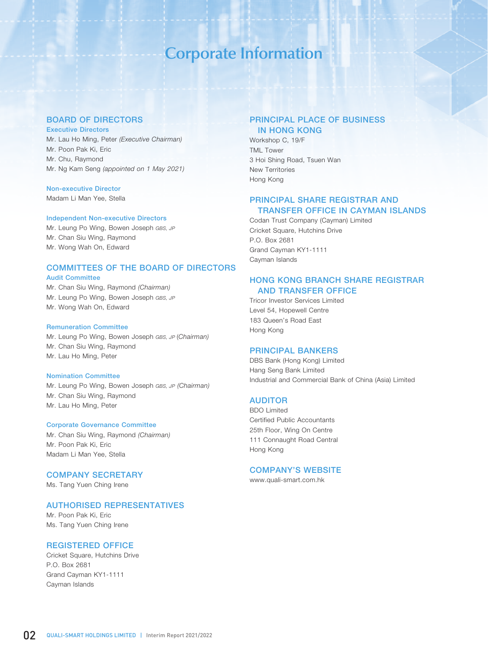# **Corporate Information**

## BOARD OF DIRECTORS

### Executive Directors

Mr. Lau Ho Ming, Peter *(Executive Chairman)* Mr. Poon Pak Ki, Eric Mr. Chu, Raymond Mr. Ng Kam Seng *(appointed on 1 May 2021)*

### Non-executive Director

Madam Li Man Yee, Stella

#### Independent Non-executive Directors

Mr. Leung Po Wing, Bowen Joseph *GBS, JP*  Mr. Chan Siu Wing, Raymond Mr. Wong Wah On, Edward

# COMMITTEES OF THE BOARD OF DIRECTORS

### Audit Committee

Mr. Chan Siu Wing, Raymond *(Chairman)*  Mr. Leung Po Wing, Bowen Joseph *GBS, JP*  Mr. Wong Wah On, Edward

### Remuneration Committee

Mr. Leung Po Wing, Bowen Joseph *GBS, JP* (*Chairman)* Mr. Chan Siu Wing, Raymond Mr. Lau Ho Ming, Peter

#### Nomination Committee

Mr. Leung Po Wing, Bowen Joseph *GBS, JP (Chairman)* Mr. Chan Siu Wing, Raymond Mr. Lau Ho Ming, Peter

#### Corporate Governance Committee

Mr. Chan Siu Wing, Raymond *(Chairman)* Mr. Poon Pak Ki, Eric Madam Li Man Yee, Stella

# COMPANY SECRETARY

Ms. Tang Yuen Ching Irene

### AUTHORISED REPRESENTATIVES

Mr. Poon Pak Ki, Eric Ms. Tang Yuen Ching Irene

### REGISTERED OFFICE

Cricket Square, Hutchins Drive P.O. Box 2681 Grand Cayman KY1-1111 Cayman Islands

# PRINCIPAL PLACE OF BUSINESS IN HONG KONG

Workshop C, 19/F TML Tower 3 Hoi Shing Road, Tsuen Wan New Territories Hong Kong

# PRINCIPAL SHARE REGISTRAR AND TRANSFER OFFICE IN CAYMAN ISLANDS

Codan Trust Company (Cayman) Limited Cricket Square, Hutchins Drive P.O. Box 2681 Grand Cayman KY1-1111 Cayman Islands

# HONG KONG BRANCH SHARE REGISTRAR AND TRANSFER OFFICE

Tricor Investor Services Limited Level 54, Hopewell Centre 183 Queen's Road East Hong Kong

## PRINCIPAL BANKERS

DBS Bank (Hong Kong) Limited Hang Seng Bank Limited Industrial and Commercial Bank of China (Asia) Limited

### AUDITOR

BDO Limited Certified Public Accountants 25th Floor, Wing On Centre 111 Connaught Road Central Hong Kong

# COMPANY'S WEBSITE

www.quali-smart.com.hk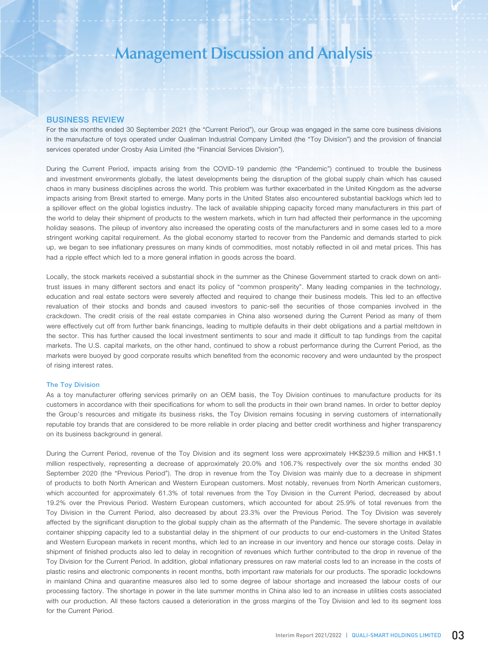### BUSINESS REVIEW

For the six months ended 30 September 2021 (the "Current Period"), our Group was engaged in the same core business divisions in the manufacture of toys operated under Qualiman Industrial Company Limited (the "Toy Division") and the provision of financial services operated under Crosby Asia Limited (the "Financial Services Division").

During the Current Period, impacts arising from the COVID-19 pandemic (the "Pandemic") continued to trouble the business and investment environments globally, the latest developments being the disruption of the global supply chain which has caused chaos in many business disciplines across the world. This problem was further exacerbated in the United Kingdom as the adverse impacts arising from Brexit started to emerge. Many ports in the United States also encountered substantial backlogs which led to a spillover effect on the global logistics industry. The lack of available shipping capacity forced many manufacturers in this part of the world to delay their shipment of products to the western markets, which in turn had affected their performance in the upcoming holiday seasons. The pileup of inventory also increased the operating costs of the manufacturers and in some cases led to a more stringent working capital requirement. As the global economy started to recover from the Pandemic and demands started to pick up, we began to see inflationary pressures on many kinds of commodities, most notably reflected in oil and metal prices. This has had a ripple effect which led to a more general inflation in goods across the board.

Locally, the stock markets received a substantial shock in the summer as the Chinese Government started to crack down on antitrust issues in many different sectors and enact its policy of "common prosperity". Many leading companies in the technology, education and real estate sectors were severely affected and required to change their business models. This led to an effective revaluation of their stocks and bonds and caused investors to panic-sell the securities of those companies involved in the crackdown. The credit crisis of the real estate companies in China also worsened during the Current Period as many of them were effectively cut off from further bank financings, leading to multiple defaults in their debt obligations and a partial meltdown in the sector. This has further caused the local investment sentiments to sour and made it difficult to tap fundings from the capital markets. The U.S. capital markets, on the other hand, continued to show a robust performance during the Current Period, as the markets were buoyed by good corporate results which benefited from the economic recovery and were undaunted by the prospect of rising interest rates.

### The Toy Division

As a toy manufacturer offering services primarily on an OEM basis, the Toy Division continues to manufacture products for its customers in accordance with their specifications for whom to sell the products in their own brand names. In order to better deploy the Group's resources and mitigate its business risks, the Toy Division remains focusing in serving customers of internationally reputable toy brands that are considered to be more reliable in order placing and better credit worthiness and higher transparency on its business background in general.

During the Current Period, revenue of the Toy Division and its segment loss were approximately HK\$239.5 million and HK\$1.1 million respectively, representing a decrease of approximately 20.0% and 106.7% respectively over the six months ended 30 September 2020 (the "Previous Period"). The drop in revenue from the Toy Division was mainly due to a decrease in shipment of products to both North American and Western European customers. Most notably, revenues from North American customers, which accounted for approximately 61.3% of total revenues from the Toy Division in the Current Period, decreased by about 19.2% over the Previous Period. Western European customers, which accounted for about 25.9% of total revenues from the Toy Division in the Current Period, also decreased by about 23.3% over the Previous Period. The Toy Division was severely affected by the significant disruption to the global supply chain as the aftermath of the Pandemic. The severe shortage in available container shipping capacity led to a substantial delay in the shipment of our products to our end-customers in the United States and Western European markets in recent months, which led to an increase in our inventory and hence our storage costs. Delay in shipment of finished products also led to delay in recognition of revenues which further contributed to the drop in revenue of the Toy Division for the Current Period. In addition, global inflationary pressures on raw material costs led to an increase in the costs of plastic resins and electronic components in recent months, both important raw materials for our products. The sporadic lockdowns in mainland China and quarantine measures also led to some degree of labour shortage and increased the labour costs of our processing factory. The shortage in power in the late summer months in China also led to an increase in utilities costs associated with our production. All these factors caused a deterioration in the gross margins of the Toy Division and led to its segment loss for the Current Period.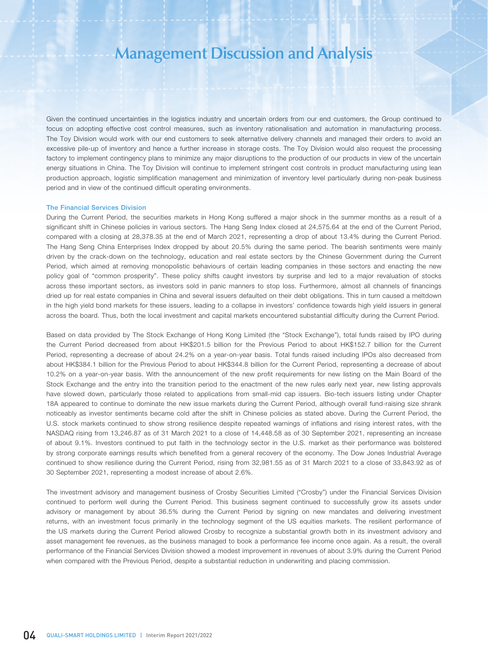Given the continued uncertainties in the logistics industry and uncertain orders from our end customers, the Group continued to focus on adopting effective cost control measures, such as inventory rationalisation and automation in manufacturing process. The Toy Division would work with our end customers to seek alternative delivery channels and managed their orders to avoid an excessive pile-up of inventory and hence a further increase in storage costs. The Toy Division would also request the processing factory to implement contingency plans to minimize any major disruptions to the production of our products in view of the uncertain energy situations in China. The Toy Division will continue to implement stringent cost controls in product manufacturing using lean production approach, logistic simplification management and minimization of inventory level particularly during non-peak business period and in view of the continued difficult operating environments.

#### The Financial Services Division

During the Current Period, the securities markets in Hong Kong suffered a major shock in the summer months as a result of a significant shift in Chinese policies in various sectors. The Hang Seng Index closed at 24,575.64 at the end of the Current Period, compared with a closing at 28,378.35 at the end of March 2021, representing a drop of about 13.4% during the Current Period. The Hang Seng China Enterprises Index dropped by about 20.5% during the same period. The bearish sentiments were mainly driven by the crack-down on the technology, education and real estate sectors by the Chinese Government during the Current Period, which aimed at removing monopolistic behaviours of certain leading companies in these sectors and enacting the new policy goal of "common prosperity". These policy shifts caught investors by surprise and led to a major revaluation of stocks across these important sectors, as investors sold in panic manners to stop loss. Furthermore, almost all channels of financings dried up for real estate companies in China and several issuers defaulted on their debt obligations. This in turn caused a meltdown in the high yield bond markets for these issuers, leading to a collapse in investors' confidence towards high yield issuers in general across the board. Thus, both the local investment and capital markets encountered substantial difficulty during the Current Period.

Based on data provided by The Stock Exchange of Hong Kong Limited (the "Stock Exchange"), total funds raised by IPO during the Current Period decreased from about HK\$201.5 billion for the Previous Period to about HK\$152.7 billion for the Current Period, representing a decrease of about 24.2% on a year-on-year basis. Total funds raised including IPOs also decreased from about HK\$384.1 billion for the Previous Period to about HK\$344.8 billion for the Current Period, representing a decrease of about 10.2% on a year-on-year basis. With the announcement of the new profit requirements for new listing on the Main Board of the Stock Exchange and the entry into the transition period to the enactment of the new rules early next year, new listing approvals have slowed down, particularly those related to applications from small-mid cap issuers. Bio-tech issuers listing under Chapter 18A appeared to continue to dominate the new issue markets during the Current Period, although overall fund-raising size shrank noticeably as investor sentiments became cold after the shift in Chinese policies as stated above. During the Current Period, the U.S. stock markets continued to show strong resilience despite repeated warnings of inflations and rising interest rates, with the NASDAQ rising from 13,246.87 as of 31 March 2021 to a close of 14,448.58 as of 30 September 2021, representing an increase of about 9.1%. Investors continued to put faith in the technology sector in the U.S. market as their performance was bolstered by strong corporate earnings results which benefited from a general recovery of the economy. The Dow Jones Industrial Average continued to show resilience during the Current Period, rising from 32,981.55 as of 31 March 2021 to a close of 33,843.92 as of 30 September 2021, representing a modest increase of about 2.6%.

The investment advisory and management business of Crosby Securities Limited ("Crosby") under the Financial Services Division continued to perform well during the Current Period. This business segment continued to successfully grow its assets under advisory or management by about 36.5% during the Current Period by signing on new mandates and delivering investment returns, with an investment focus primarily in the technology segment of the US equities markets. The resilient performance of the US markets during the Current Period allowed Crosby to recognize a substantial growth both in its investment advisory and asset management fee revenues, as the business managed to book a performance fee income once again. As a result, the overall performance of the Financial Services Division showed a modest improvement in revenues of about 3.9% during the Current Period when compared with the Previous Period, despite a substantial reduction in underwriting and placing commission.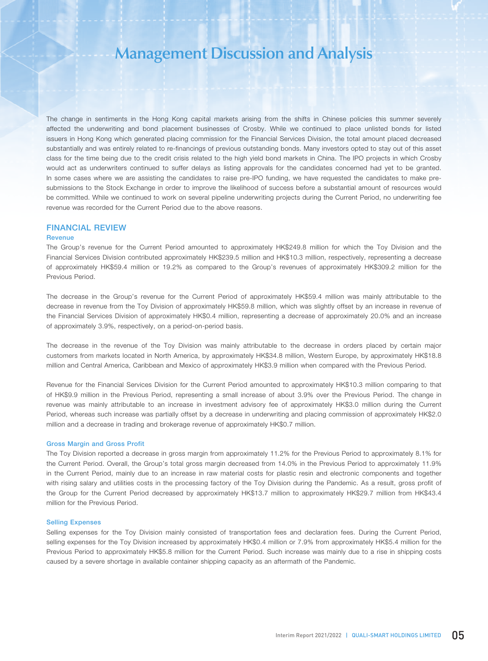The change in sentiments in the Hong Kong capital markets arising from the shifts in Chinese policies this summer severely affected the underwriting and bond placement businesses of Crosby. While we continued to place unlisted bonds for listed issuers in Hong Kong which generated placing commission for the Financial Services Division, the total amount placed decreased substantially and was entirely related to re-financings of previous outstanding bonds. Many investors opted to stay out of this asset class for the time being due to the credit crisis related to the high yield bond markets in China. The IPO projects in which Crosby would act as underwriters continued to suffer delays as listing approvals for the candidates concerned had yet to be granted. In some cases where we are assisting the candidates to raise pre-IPO funding, we have requested the candidates to make presubmissions to the Stock Exchange in order to improve the likelihood of success before a substantial amount of resources would be committed. While we continued to work on several pipeline underwriting projects during the Current Period, no underwriting fee revenue was recorded for the Current Period due to the above reasons.

## FINANCIAL REVIEW

### Revenue

The Group's revenue for the Current Period amounted to approximately HK\$249.8 million for which the Toy Division and the Financial Services Division contributed approximately HK\$239.5 million and HK\$10.3 million, respectively, representing a decrease of approximately HK\$59.4 million or 19.2% as compared to the Group's revenues of approximately HK\$309.2 million for the Previous Period.

The decrease in the Group's revenue for the Current Period of approximately HK\$59.4 million was mainly attributable to the decrease in revenue from the Toy Division of approximately HK\$59.8 million, which was slightly offset by an increase in revenue of the Financial Services Division of approximately HK\$0.4 million, representing a decrease of approximately 20.0% and an increase of approximately 3.9%, respectively, on a period-on-period basis.

The decrease in the revenue of the Toy Division was mainly attributable to the decrease in orders placed by certain major customers from markets located in North America, by approximately HK\$34.8 million, Western Europe, by approximately HK\$18.8 million and Central America, Caribbean and Mexico of approximately HK\$3.9 million when compared with the Previous Period.

Revenue for the Financial Services Division for the Current Period amounted to approximately HK\$10.3 million comparing to that of HK\$9.9 million in the Previous Period, representing a small increase of about 3.9% over the Previous Period. The change in revenue was mainly attributable to an increase in investment advisory fee of approximately HK\$3.0 million during the Current Period, whereas such increase was partially offset by a decrease in underwriting and placing commission of approximately HK\$2.0 million and a decrease in trading and brokerage revenue of approximately HK\$0.7 million.

### Gross Margin and Gross Profit

The Toy Division reported a decrease in gross margin from approximately 11.2% for the Previous Period to approximately 8.1% for the Current Period. Overall, the Group's total gross margin decreased from 14.0% in the Previous Period to approximately 11.9% in the Current Period, mainly due to an increase in raw material costs for plastic resin and electronic components and together with rising salary and utilities costs in the processing factory of the Toy Division during the Pandemic. As a result, gross profit of the Group for the Current Period decreased by approximately HK\$13.7 million to approximately HK\$29.7 million from HK\$43.4 million for the Previous Period.

#### Selling Expenses

Selling expenses for the Toy Division mainly consisted of transportation fees and declaration fees. During the Current Period, selling expenses for the Toy Division increased by approximately HK\$0.4 million or 7.9% from approximately HK\$5.4 million for the Previous Period to approximately HK\$5.8 million for the Current Period. Such increase was mainly due to a rise in shipping costs caused by a severe shortage in available container shipping capacity as an aftermath of the Pandemic.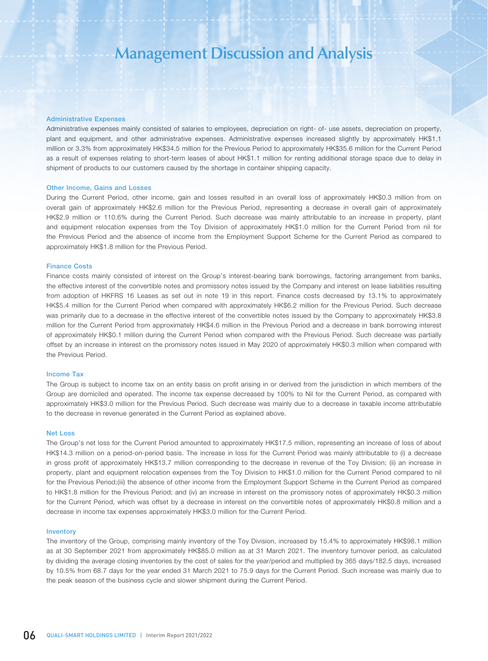#### Administrative Expenses

Administrative expenses mainly consisted of salaries to employees, depreciation on right- of- use assets, depreciation on property, plant and equipment, and other administrative expenses. Administrative expenses increased slightly by approximately HK\$1.1 million or 3.3% from approximately HK\$34.5 million for the Previous Period to approximately HK\$35.6 million for the Current Period as a result of expenses relating to short-term leases of about HK\$1.1 million for renting additional storage space due to delay in shipment of products to our customers caused by the shortage in container shipping capacity.

### Other Income, Gains and Losses

During the Current Period, other income, gain and losses resulted in an overall loss of approximately HK\$0.3 million from on overall gain of approximately HK\$2.6 million for the Previous Period, representing a decrease in overall gain of approximately HK\$2.9 million or 110.6% during the Current Period. Such decrease was mainly attributable to an increase in property, plant and equipment relocation expenses from the Toy Division of approximately HK\$1.0 million for the Current Period from nil for the Previous Period and the absence of income from the Employment Support Scheme for the Current Period as compared to approximately HK\$1.8 million for the Previous Period.

#### Finance Costs

Finance costs mainly consisted of interest on the Group's interest-bearing bank borrowings, factoring arrangement from banks, the effective interest of the convertible notes and promissory notes issued by the Company and interest on lease liabilities resulting from adoption of HKFRS 16 Leases as set out in note 19 in this report. Finance costs decreased by 13.1% to approximately HK\$5.4 million for the Current Period when compared with approximately HK\$6.2 million for the Previous Period. Such decrease was primarily due to a decrease in the effective interest of the convertible notes issued by the Company to approximately HK\$3.8 million for the Current Period from approximately HK\$4.6 million in the Previous Period and a decrease in bank borrowing interest of approximately HK\$0.1 million during the Current Period when compared with the Previous Period. Such decrease was partially offset by an increase in interest on the promissory notes issued in May 2020 of approximately HK\$0.3 million when compared with the Previous Period.

#### Income Tax

The Group is subject to income tax on an entity basis on profit arising in or derived from the jurisdiction in which members of the Group are domiciled and operated. The income tax expense decreased by 100% to Nil for the Current Period, as compared with approximately HK\$3.0 million for the Previous Period. Such decrease was mainly due to a decrease in taxable income attributable to the decrease in revenue generated in the Current Period as explained above.

#### Net Loss

The Group's net loss for the Current Period amounted to approximately HK\$17.5 million, representing an increase of loss of about HK\$14.3 million on a period-on-period basis. The increase in loss for the Current Period was mainly attributable to (i) a decrease in gross profit of approximately HK\$13.7 million corresponding to the decrease in revenue of the Toy Division; (ii) an increase in property, plant and equipment relocation expenses from the Toy Division to HK\$1.0 million for the Current Period compared to nil for the Previous Period;(iii) the absence of other income from the Employment Support Scheme in the Current Period as compared to HK\$1.8 million for the Previous Period; and (iv) an increase in interest on the promissory notes of approximately HK\$0.3 million for the Current Period, which was offset by a decrease in interest on the convertible notes of approximately HK\$0.8 million and a decrease in income tax expenses approximately HK\$3.0 million for the Current Period.

### Inventory

The inventory of the Group, comprising mainly inventory of the Toy Division, increased by 15.4% to approximately HK\$98.1 million as at 30 September 2021 from approximately HK\$85.0 million as at 31 March 2021. The inventory turnover period, as calculated by dividing the average closing inventories by the cost of sales for the year/period and multiplied by 365 days/182.5 days, increased by 10.5% from 68.7 days for the year ended 31 March 2021 to 75.9 days for the Current Period. Such increase was mainly due to the peak season of the business cycle and slower shipment during the Current Period.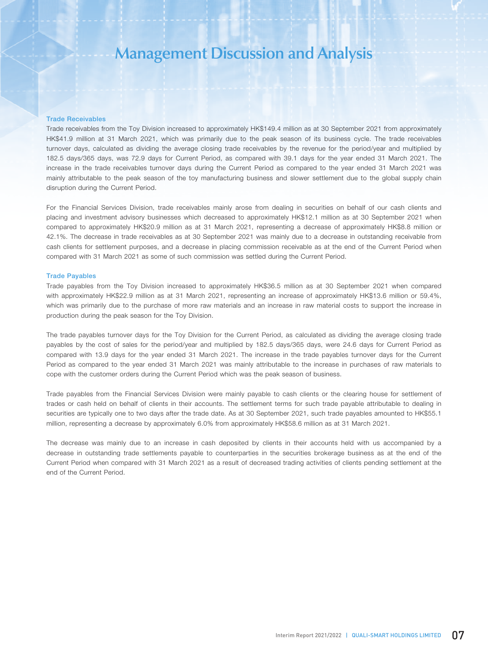### Trade Receivables

Trade receivables from the Toy Division increased to approximately HK\$149.4 million as at 30 September 2021 from approximately HK\$41.9 million at 31 March 2021, which was primarily due to the peak season of its business cycle. The trade receivables turnover days, calculated as dividing the average closing trade receivables by the revenue for the period/year and multiplied by 182.5 days/365 days, was 72.9 days for Current Period, as compared with 39.1 days for the year ended 31 March 2021. The increase in the trade receivables turnover days during the Current Period as compared to the year ended 31 March 2021 was mainly attributable to the peak season of the toy manufacturing business and slower settlement due to the global supply chain disruption during the Current Period.

For the Financial Services Division, trade receivables mainly arose from dealing in securities on behalf of our cash clients and placing and investment advisory businesses which decreased to approximately HK\$12.1 million as at 30 September 2021 when compared to approximately HK\$20.9 million as at 31 March 2021, representing a decrease of approximately HK\$8.8 million or 42.1%. The decrease in trade receivables as at 30 September 2021 was mainly due to a decrease in outstanding receivable from cash clients for settlement purposes, and a decrease in placing commission receivable as at the end of the Current Period when compared with 31 March 2021 as some of such commission was settled during the Current Period.

### Trade Payables

Trade payables from the Toy Division increased to approximately HK\$36.5 million as at 30 September 2021 when compared with approximately HK\$22.9 million as at 31 March 2021, representing an increase of approximately HK\$13.6 million or 59.4%, which was primarily due to the purchase of more raw materials and an increase in raw material costs to support the increase in production during the peak season for the Toy Division.

The trade payables turnover days for the Toy Division for the Current Period, as calculated as dividing the average closing trade payables by the cost of sales for the period/year and multiplied by 182.5 days/365 days, were 24.6 days for Current Period as compared with 13.9 days for the year ended 31 March 2021. The increase in the trade payables turnover days for the Current Period as compared to the year ended 31 March 2021 was mainly attributable to the increase in purchases of raw materials to cope with the customer orders during the Current Period which was the peak season of business.

Trade payables from the Financial Services Division were mainly payable to cash clients or the clearing house for settlement of trades or cash held on behalf of clients in their accounts. The settlement terms for such trade payable attributable to dealing in securities are typically one to two days after the trade date. As at 30 September 2021, such trade payables amounted to HK\$55.1 million, representing a decrease by approximately 6.0% from approximately HK\$58.6 million as at 31 March 2021.

The decrease was mainly due to an increase in cash deposited by clients in their accounts held with us accompanied by a decrease in outstanding trade settlements payable to counterparties in the securities brokerage business as at the end of the Current Period when compared with 31 March 2021 as a result of decreased trading activities of clients pending settlement at the end of the Current Period.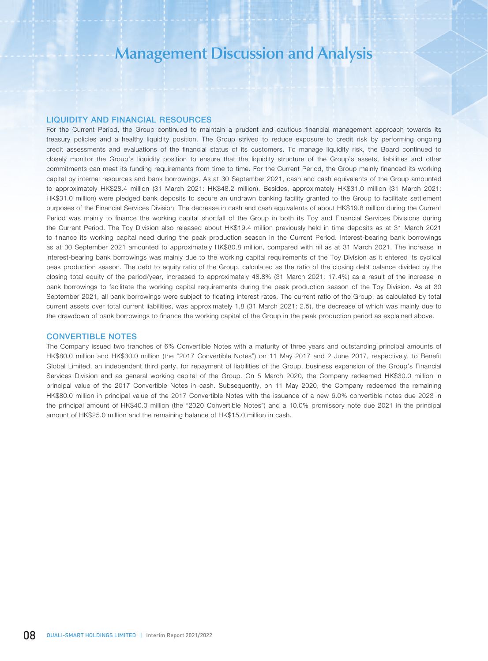## LIQUIDITY AND FINANCIAL RESOURCES

For the Current Period, the Group continued to maintain a prudent and cautious financial management approach towards its treasury policies and a healthy liquidity position. The Group strived to reduce exposure to credit risk by performing ongoing credit assessments and evaluations of the financial status of its customers. To manage liquidity risk, the Board continued to closely monitor the Group's liquidity position to ensure that the liquidity structure of the Group's assets, liabilities and other commitments can meet its funding requirements from time to time. For the Current Period, the Group mainly financed its working capital by internal resources and bank borrowings. As at 30 September 2021, cash and cash equivalents of the Group amounted to approximately HK\$28.4 million (31 March 2021: HK\$48.2 million). Besides, approximately HK\$31.0 million (31 March 2021: HK\$31.0 million) were pledged bank deposits to secure an undrawn banking facility granted to the Group to facilitate settlement purposes of the Financial Services Division. The decrease in cash and cash equivalents of about HK\$19.8 million during the Current Period was mainly to finance the working capital shortfall of the Group in both its Toy and Financial Services Divisions during the Current Period. The Toy Division also released about HK\$19.4 million previously held in time deposits as at 31 March 2021 to finance its working capital need during the peak production season in the Current Period. Interest-bearing bank borrowings as at 30 September 2021 amounted to approximately HK\$80.8 million, compared with nil as at 31 March 2021. The increase in interest-bearing bank borrowings was mainly due to the working capital requirements of the Toy Division as it entered its cyclical peak production season. The debt to equity ratio of the Group, calculated as the ratio of the closing debt balance divided by the closing total equity of the period/year, increased to approximately 48.8% (31 March 2021: 17.4%) as a result of the increase in bank borrowings to facilitate the working capital requirements during the peak production season of the Toy Division. As at 30 September 2021, all bank borrowings were subject to floating interest rates. The current ratio of the Group, as calculated by total current assets over total current liabilities, was approximately 1.8 (31 March 2021: 2.5), the decrease of which was mainly due to the drawdown of bank borrowings to finance the working capital of the Group in the peak production period as explained above.

### CONVERTIBLE NOTES

The Company issued two tranches of 6% Convertible Notes with a maturity of three years and outstanding principal amounts of HK\$80.0 million and HK\$30.0 million (the "2017 Convertible Notes") on 11 May 2017 and 2 June 2017, respectively, to Benefit Global Limited, an independent third party, for repayment of liabilities of the Group, business expansion of the Group's Financial Services Division and as general working capital of the Group. On 5 March 2020, the Company redeemed HK\$30.0 million in principal value of the 2017 Convertible Notes in cash. Subsequently, on 11 May 2020, the Company redeemed the remaining HK\$80.0 million in principal value of the 2017 Convertible Notes with the issuance of a new 6.0% convertible notes due 2023 in the principal amount of HK\$40.0 million (the "2020 Convertible Notes") and a 10.0% promissory note due 2021 in the principal amount of HK\$25.0 million and the remaining balance of HK\$15.0 million in cash.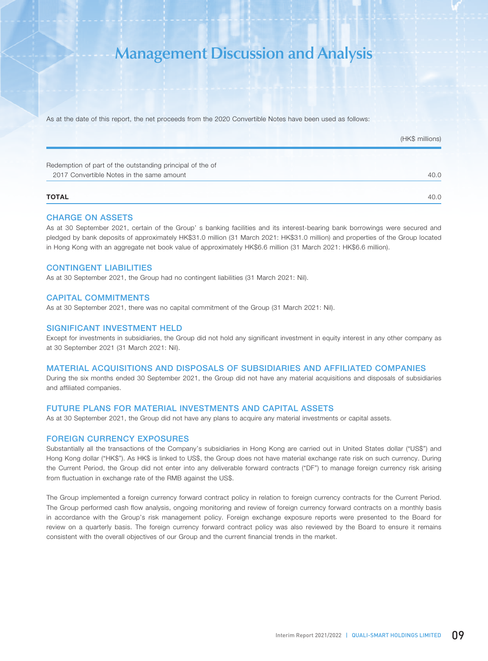As at the date of this report, the net proceeds from the 2020 Convertible Notes have been used as follows:

|                                                           | (HK\$ millions) |
|-----------------------------------------------------------|-----------------|
| Redemption of part of the outstanding principal of the of |                 |
| 2017 Convertible Notes in the same amount                 | 40.0            |
| <b>TOTAL</b>                                              | 40.0            |

### CHARGE ON ASSETS

As at 30 September 2021, certain of the Group' s banking facilities and its interest-bearing bank borrowings were secured and pledged by bank deposits of approximately HK\$31.0 million (31 March 2021: HK\$31.0 million) and properties of the Group located in Hong Kong with an aggregate net book value of approximately HK\$6.6 million (31 March 2021: HK\$6.6 million).

### CONTINGENT LIABILITIES

As at 30 September 2021, the Group had no contingent liabilities (31 March 2021: Nil).

### CAPITAL COMMITMENTS

As at 30 September 2021, there was no capital commitment of the Group (31 March 2021: Nil).

### SIGNIFICANT INVESTMENT HELD

Except for investments in subsidiaries, the Group did not hold any significant investment in equity interest in any other company as at 30 September 2021 (31 March 2021: Nil).

### MATERIAL ACQUISITIONS AND DISPOSALS OF SUBSIDIARIES AND AFFILIATED COMPANIES

During the six months ended 30 September 2021, the Group did not have any material acquisitions and disposals of subsidiaries and affiliated companies.

## FUTURE PLANS FOR MATERIAL INVESTMENTS AND CAPITAL ASSETS

As at 30 September 2021, the Group did not have any plans to acquire any material investments or capital assets.

### FOREIGN CURRENCY EXPOSURES

Substantially all the transactions of the Company's subsidiaries in Hong Kong are carried out in United States dollar ("US\$") and Hong Kong dollar ("HK\$"). As HK\$ is linked to US\$, the Group does not have material exchange rate risk on such currency. During the Current Period, the Group did not enter into any deliverable forward contracts ("DF") to manage foreign currency risk arising from fluctuation in exchange rate of the RMB against the US\$.

The Group implemented a foreign currency forward contract policy in relation to foreign currency contracts for the Current Period. The Group performed cash flow analysis, ongoing monitoring and review of foreign currency forward contracts on a monthly basis in accordance with the Group's risk management policy. Foreign exchange exposure reports were presented to the Board for review on a quarterly basis. The foreign currency forward contract policy was also reviewed by the Board to ensure it remains consistent with the overall objectives of our Group and the current financial trends in the market.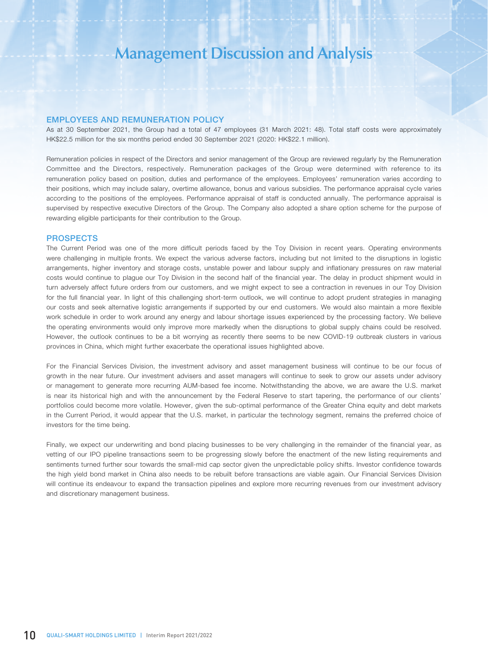### EMPLOYEES AND REMUNERATION POLICY

As at 30 September 2021, the Group had a total of 47 employees (31 March 2021: 48). Total staff costs were approximately HK\$22.5 million for the six months period ended 30 September 2021 (2020: HK\$22.1 million).

Remuneration policies in respect of the Directors and senior management of the Group are reviewed regularly by the Remuneration Committee and the Directors, respectively. Remuneration packages of the Group were determined with reference to its remuneration policy based on position, duties and performance of the employees. Employees' remuneration varies according to their positions, which may include salary, overtime allowance, bonus and various subsidies. The performance appraisal cycle varies according to the positions of the employees. Performance appraisal of staff is conducted annually. The performance appraisal is supervised by respective executive Directors of the Group. The Company also adopted a share option scheme for the purpose of rewarding eligible participants for their contribution to the Group.

### PROSPECTS

The Current Period was one of the more difficult periods faced by the Toy Division in recent years. Operating environments were challenging in multiple fronts. We expect the various adverse factors, including but not limited to the disruptions in logistic arrangements, higher inventory and storage costs, unstable power and labour supply and inflationary pressures on raw material costs would continue to plague our Toy Division in the second half of the financial year. The delay in product shipment would in turn adversely affect future orders from our customers, and we might expect to see a contraction in revenues in our Toy Division for the full financial year. In light of this challenging short-term outlook, we will continue to adopt prudent strategies in managing our costs and seek alternative logistic arrangements if supported by our end customers. We would also maintain a more flexible work schedule in order to work around any energy and labour shortage issues experienced by the processing factory. We believe the operating environments would only improve more markedly when the disruptions to global supply chains could be resolved. However, the outlook continues to be a bit worrying as recently there seems to be new COVID-19 outbreak clusters in various provinces in China, which might further exacerbate the operational issues highlighted above.

For the Financial Services Division, the investment advisory and asset management business will continue to be our focus of growth in the near future. Our investment advisers and asset managers will continue to seek to grow our assets under advisory or management to generate more recurring AUM-based fee income. Notwithstanding the above, we are aware the U.S. market is near its historical high and with the announcement by the Federal Reserve to start tapering, the performance of our clients' portfolios could become more volatile. However, given the sub-optimal performance of the Greater China equity and debt markets in the Current Period, it would appear that the U.S. market, in particular the technology segment, remains the preferred choice of investors for the time being.

Finally, we expect our underwriting and bond placing businesses to be very challenging in the remainder of the financial year, as vetting of our IPO pipeline transactions seem to be progressing slowly before the enactment of the new listing requirements and sentiments turned further sour towards the small-mid cap sector given the unpredictable policy shifts. Investor confidence towards the high yield bond market in China also needs to be rebuilt before transactions are viable again. Our Financial Services Division will continue its endeavour to expand the transaction pipelines and explore more recurring revenues from our investment advisory and discretionary management business.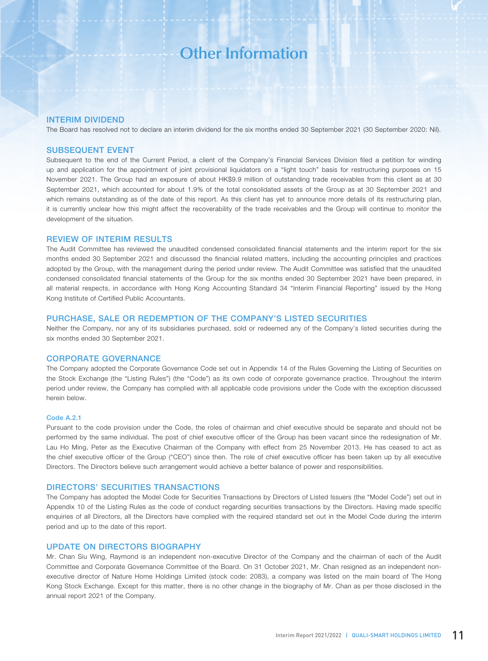### INTERIM DIVIDEND

The Board has resolved not to declare an interim dividend for the six months ended 30 September 2021 (30 September 2020: Nil).

### SUBSEQUENT EVENT

Subsequent to the end of the Current Period, a client of the Company's Financial Services Division filed a petition for winding up and application for the appointment of joint provisional liquidators on a "light touch" basis for restructuring purposes on 15 November 2021. The Group had an exposure of about HK\$9.9 million of outstanding trade receivables from this client as at 30 September 2021, which accounted for about 1.9% of the total consolidated assets of the Group as at 30 September 2021 and which remains outstanding as of the date of this report. As this client has yet to announce more details of its restructuring plan, it is currently unclear how this might affect the recoverability of the trade receivables and the Group will continue to monitor the development of the situation.

## REVIEW OF INTERIM RESULTS

The Audit Committee has reviewed the unaudited condensed consolidated financial statements and the interim report for the six months ended 30 September 2021 and discussed the financial related matters, including the accounting principles and practices adopted by the Group, with the management during the period under review. The Audit Committee was satisfied that the unaudited condensed consolidated financial statements of the Group for the six months ended 30 September 2021 have been prepared, in all material respects, in accordance with Hong Kong Accounting Standard 34 "Interim Financial Reporting" issued by the Hong Kong Institute of Certified Public Accountants.

### PURCHASE, SALE OR REDEMPTION OF THE COMPANY'S LISTED SECURITIES

Neither the Company, nor any of its subsidiaries purchased, sold or redeemed any of the Company's listed securities during the six months ended 30 September 2021.

### CORPORATE GOVERNANCE

The Company adopted the Corporate Governance Code set out in Appendix 14 of the Rules Governing the Listing of Securities on the Stock Exchange (the "Listing Rules") (the "Code") as its own code of corporate governance practice. Throughout the interim period under review, the Company has complied with all applicable code provisions under the Code with the exception discussed herein below.

#### Code A.2.1

Pursuant to the code provision under the Code, the roles of chairman and chief executive should be separate and should not be performed by the same individual. The post of chief executive officer of the Group has been vacant since the redesignation of Mr. Lau Ho Ming, Peter as the Executive Chairman of the Company with effect from 25 November 2013. He has ceased to act as the chief executive officer of the Group ("CEO") since then. The role of chief executive officer has been taken up by all executive Directors. The Directors believe such arrangement would achieve a better balance of power and responsibilities.

### DIRECTORS' SECURITIES TRANSACTIONS

The Company has adopted the Model Code for Securities Transactions by Directors of Listed Issuers (the "Model Code") set out in Appendix 10 of the Listing Rules as the code of conduct regarding securities transactions by the Directors. Having made specific enquiries of all Directors, all the Directors have complied with the required standard set out in the Model Code during the interim period and up to the date of this report.

### UPDATE ON DIRECTORS BIOGRAPHY

Mr. Chan Siu Wing, Raymond is an independent non-executive Director of the Company and the chairman of each of the Audit Committee and Corporate Governance Committee of the Board. On 31 October 2021, Mr. Chan resigned as an independent nonexecutive director of Nature Home Holdings Limited (stock code: 2083), a company was listed on the main board of The Hong Kong Stock Exchange. Except for this matter, there is no other change in the biography of Mr. Chan as per those disclosed in the annual report 2021 of the Company.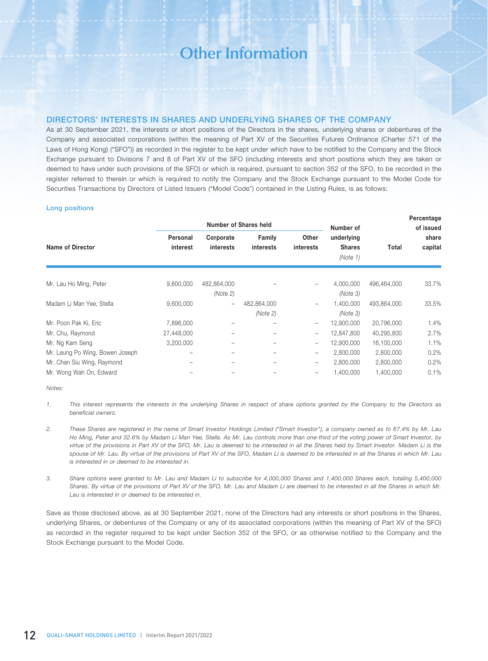# DIRECTORS' INTERESTS IN SHARES AND UNDERLYING SHARES OF THE COMPANY

As at 30 September 2021, the interests or short positions of the Directors in the shares, underlying shares or debentures of the Company and associated corporations (within the meaning of Part XV of the Securities Futures Ordinance (Charter 571 of the Laws of Hong Kong) ("SFO")) as recorded in the register to be kept under which have to be notified to the Company and the Stock Exchange pursuant to Divisions 7 and 8 of Part XV of the SFO (including interests and short positions which they are taken or deemed to have under such provisions of the SFO) or which is required, pursuant to section 352 of the SFO, to be recorded in the register referred to therein or which is required to notify the Company and the Stock Exchange pursuant to the Model Code for Securities Transactions by Directors of Listed Issuers ("Model Code") contained in the Listing Rules, is as follows:

#### Long positions

|                                 |                      |                        | Number of Shares held |                    | Number of                               |             | Percentage<br>of issued |
|---------------------------------|----------------------|------------------------|-----------------------|--------------------|-----------------------------------------|-------------|-------------------------|
| Name of Director                | Personal<br>interest | Corporate<br>interests | Family<br>interests   | Other<br>interests | underlying<br><b>Shares</b><br>(Note 1) | Total       | share<br>capital        |
| Mr. Lau Ho Ming, Peter          | 9,600,000            | 482,864,000            |                       |                    | 4,000,000                               | 496,464,000 | 33.7%                   |
|                                 |                      | (Note 2)               |                       |                    | (Note 3)                                |             |                         |
| Madam Li Man Yee, Stella        | 9,600,000            | $\qquad \qquad -$      | 482,864,000           | $\qquad \qquad -$  | 1,400,000                               | 493,864,000 | 33.5%                   |
|                                 |                      |                        | (Note 2)              |                    | (Note 3)                                |             |                         |
| Mr. Poon Pak Ki, Eric           | 7,896,000            |                        |                       | $\qquad \qquad -$  | 12,900,000                              | 20,796,000  | 1.4%                    |
| Mr. Chu, Raymond                | 27,448,000           |                        | -                     | $\qquad \qquad -$  | 12,847,800                              | 40,295,800  | 2.7%                    |
| Mr. Ng Kam Seng                 | 3,200,000            |                        |                       | -                  | 12,900,000                              | 16,100,000  | 1.1%                    |
| Mr. Leung Po Wing, Bowen Joseph | -                    |                        |                       | $\qquad \qquad -$  | 2,800,000                               | 2,800,000   | 0.2%                    |
| Mr. Chan Siu Wing, Raymond      |                      |                        |                       | -                  | 2,800,000                               | 2,800,000   | 0.2%                    |
| Mr. Wong Wah On, Edward         |                      |                        |                       |                    | 1,400,000                               | 1,400,000   | 0.1%                    |

#### *Notes:*

- *1. This interest represents the interests in the underlying Shares in respect of share options granted by the Company to the Directors as beneficial owners.*
- *2. These Shares are registered in the name of Smart Investor Holdings Limited ("Smart Investor"), a company owned as to 67.4% by Mr. Lau Ho Ming, Peter and 32.6% by Madam Li Man Yee, Stella. As Mr. Lau controls more than one-third of the voting power of Smart Investor, by virtue of the provisions in Part XV of the SFO, Mr. Lau is deemed to be interested in all the Shares held by Smart Investor. Madam Li is the spouse of Mr. Lau. By virtue of the provisions of Part XV of the SFO, Madam Li is deemed to be interested in all the Shares in which Mr. Lau is interested in or deemed to be interested in.*
- *3. Share options were granted to Mr. Lau and Madam Li to subscribe for 4,000,000 Shares and 1,400,000 Shares each, totaling 5,400,000 Shares. By virtue of the provisions of Part XV of the SFO, Mr. Lau and Madam Li are deemed to be interested in all the Shares in which Mr. Lau is interested in or deemed to be interested in.*

Save as those disclosed above, as at 30 September 2021, none of the Directors had any interests or short positions in the Shares, underlying Shares, or debentures of the Company or any of its associated corporations (within the meaning of Part XV of the SFO) as recorded in the register required to be kept under Section 352 of the SFO, or as otherwise notified to the Company and the Stock Exchange pursuant to the Model Code.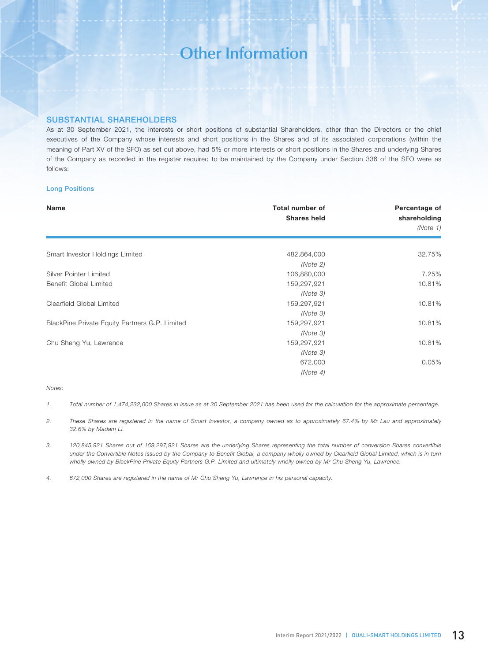## SUBSTANTIAL SHAREHOLDERS

As at 30 September 2021, the interests or short positions of substantial Shareholders, other than the Directors or the chief executives of the Company whose interests and short positions in the Shares and of its associated corporations (within the meaning of Part XV of the SFO) as set out above, had 5% or more interests or short positions in the Shares and underlying Shares of the Company as recorded in the register required to be maintained by the Company under Section 336 of the SFO were as follows:

### Long Positions

| <b>Name</b>                                    | <b>Total number of</b><br><b>Shares held</b> | Percentage of<br>shareholding<br>(Note 1) |
|------------------------------------------------|----------------------------------------------|-------------------------------------------|
| Smart Investor Holdings Limited                | 482,864,000                                  | 32.75%                                    |
|                                                | (Note 2)                                     |                                           |
| Silver Pointer Limited                         | 106,880,000                                  | 7.25%                                     |
| Benefit Global Limited                         | 159,297,921                                  | 10.81%                                    |
|                                                | (Note 3)                                     |                                           |
| Clearfield Global Limited                      | 159,297,921                                  | 10.81%                                    |
|                                                | (Note 3)                                     |                                           |
| BlackPine Private Equity Partners G.P. Limited | 159,297,921                                  | 10.81%                                    |
|                                                | (Note 3)                                     |                                           |
| Chu Sheng Yu, Lawrence                         | 159,297,921                                  | 10.81%                                    |
|                                                | (Note 3)                                     |                                           |
|                                                | 672,000                                      | 0.05%                                     |
|                                                | (Note 4)                                     |                                           |

### *Notes:*

- *1. Total number of 1,474,232,000 Shares in issue as at 30 September 2021 has been used for the calculation for the approximate percentage.*
- *2. These Shares are registered in the name of Smart Investor, a company owned as to approximately 67.4% by Mr Lau and approximately 32.6% by Madam Li.*
- *3. 120,845,921 Shares out of 159,297,921 Shares are the underlying Shares representing the total number of conversion Shares convertible under the Convertible Notes issued by the Company to Benefit Global, a company wholly owned by Clearfield Global Limited, which is in turn wholly owned by BlackPine Private Equity Partners G.P. Limited and ultimately wholly owned by Mr Chu Sheng Yu, Lawrence.*

*4. 672,000 Shares are registered in the name of Mr Chu Sheng Yu, Lawrence in his personal capacity.*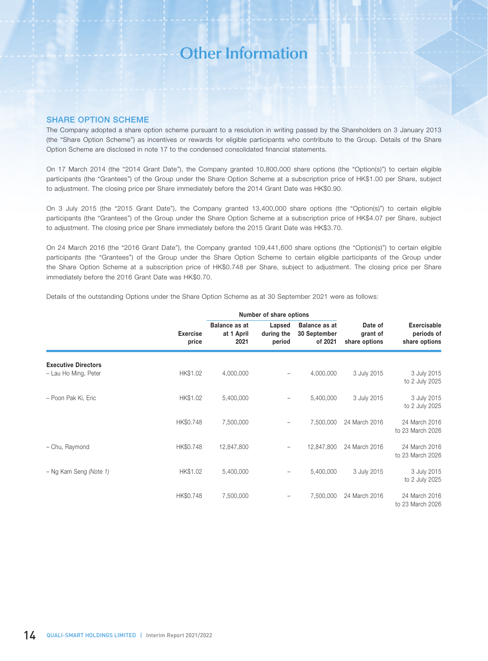### SHARE OPTION SCHEME

The Company adopted a share option scheme pursuant to a resolution in writing passed by the Shareholders on 3 January 2013 (the "Share Option Scheme") as incentives or rewards for eligible participants who contribute to the Group. Details of the Share Option Scheme are disclosed in note 17 to the condensed consolidated financial statements.

On 17 March 2014 (the "2014 Grant Date"), the Company granted 10,800,000 share options (the "Option(s)") to certain eligible participants (the "Grantees") of the Group under the Share Option Scheme at a subscription price of HK\$1.00 per Share, subject to adjustment. The closing price per Share immediately before the 2014 Grant Date was HK\$0.90.

On 3 July 2015 (the "2015 Grant Date"), the Company granted 13,400,000 share options (the "Option(s)") to certain eligible participants (the "Grantees") of the Group under the Share Option Scheme at a subscription price of HK\$4.07 per Share, subject to adjustment. The closing price per Share immediately before the 2015 Grant Date was HK\$3.70.

On 24 March 2016 (the "2016 Grant Date"), the Company granted 109,441,600 share options (the "Option(s)") to certain eligible participants (the "Grantees") of the Group under the Share Option Scheme to certain eligible participants of the Group under the Share Option Scheme at a subscription price of HK\$0.748 per Share, subject to adjustment. The closing price per Share immediately before the 2016 Grant Date was HK\$0.70.

|  | Details of the outstanding Options under the Share Option Scheme as at 30 September 2021 were as follows: |  |  |  |  |  |  |  |
|--|-----------------------------------------------------------------------------------------------------------|--|--|--|--|--|--|--|
|  |                                                                                                           |  |  |  |  |  |  |  |

|                                                    |                          |                                            | Number of share options        |                                                 |                                      |                                                   |
|----------------------------------------------------|--------------------------|--------------------------------------------|--------------------------------|-------------------------------------------------|--------------------------------------|---------------------------------------------------|
|                                                    | <b>Exercise</b><br>price | <b>Balance as at</b><br>at 1 April<br>2021 | Lapsed<br>during the<br>period | <b>Balance as at</b><br>30 September<br>of 2021 | Date of<br>grant of<br>share options | <b>Exercisable</b><br>periods of<br>share options |
| <b>Executive Directors</b><br>- Lau Ho Ming, Peter | HK\$1.02                 | 4,000,000                                  |                                | 4,000,000                                       | 3 July 2015                          | 3 July 2015<br>to 2 July 2025                     |
| - Poon Pak Ki, Eric                                | HK\$1.02                 | 5,400,000                                  |                                | 5,400,000                                       | 3 July 2015                          | 3 July 2015<br>to 2 July 2025                     |
|                                                    | HK\$0.748                | 7,500,000                                  |                                | 7,500,000                                       | 24 March 2016                        | 24 March 2016<br>to 23 March 2026                 |
| - Chu, Raymond                                     | HK\$0.748                | 12,847,800                                 | $\qquad \qquad -$              | 12,847,800                                      | 24 March 2016                        | 24 March 2016<br>to 23 March 2026                 |
| - Ng Kam Seng (Note 1)                             | HK\$1.02                 | 5,400,000                                  |                                | 5,400,000                                       | 3 July 2015                          | 3 July 2015<br>to 2 July 2025                     |
|                                                    | HK\$0.748                | 7,500,000                                  |                                | 7,500,000                                       | 24 March 2016                        | 24 March 2016<br>to 23 March 2026                 |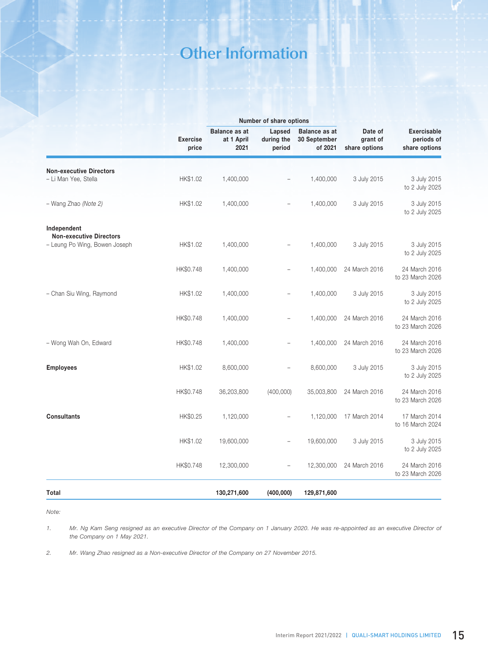|                                                                                |                          |                                            | Number of share options        |                                                 |                                      |                                                   |
|--------------------------------------------------------------------------------|--------------------------|--------------------------------------------|--------------------------------|-------------------------------------------------|--------------------------------------|---------------------------------------------------|
|                                                                                | <b>Exercise</b><br>price | <b>Balance as at</b><br>at 1 April<br>2021 | Lapsed<br>during the<br>period | <b>Balance as at</b><br>30 September<br>of 2021 | Date of<br>grant of<br>share options | <b>Exercisable</b><br>periods of<br>share options |
| <b>Non-executive Directors</b><br>- Li Man Yee, Stella                         | HK\$1.02                 | 1,400,000                                  |                                | 1,400,000                                       | 3 July 2015                          | 3 July 2015<br>to 2 July 2025                     |
| - Wang Zhao (Note 2)                                                           | HK\$1.02                 | 1,400,000                                  |                                | 1,400,000                                       | 3 July 2015                          | 3 July 2015<br>to 2 July 2025                     |
| Independent<br><b>Non-executive Directors</b><br>- Leung Po Wing, Bowen Joseph | HK\$1.02                 | 1,400,000                                  |                                | 1,400,000                                       | 3 July 2015                          | 3 July 2015<br>to 2 July 2025                     |
|                                                                                | HK\$0.748                | 1,400,000                                  | $\overline{a}$                 | 1,400,000                                       | 24 March 2016                        | 24 March 2016<br>to 23 March 2026                 |
| - Chan Siu Wing, Raymond                                                       | HK\$1.02                 | 1,400,000                                  |                                | 1,400,000                                       | 3 July 2015                          | 3 July 2015<br>to 2 July 2025                     |
|                                                                                | HK\$0.748                | 1,400,000                                  |                                | 1,400,000                                       | 24 March 2016                        | 24 March 2016<br>to 23 March 2026                 |
| - Wong Wah On, Edward                                                          | HK\$0.748                | 1,400,000                                  |                                | 1,400,000                                       | 24 March 2016                        | 24 March 2016<br>to 23 March 2026                 |
| <b>Employees</b>                                                               | HK\$1.02                 | 8,600,000                                  | $\overline{a}$                 | 8,600,000                                       | 3 July 2015                          | 3 July 2015<br>to 2 July 2025                     |
|                                                                                | HK\$0.748                | 36,203,800                                 | (400,000)                      | 35,003,800                                      | 24 March 2016                        | 24 March 2016<br>to 23 March 2026                 |
| <b>Consultants</b>                                                             | HK\$0.25                 | 1,120,000                                  |                                | 1,120,000                                       | 17 March 2014                        | 17 March 2014<br>to 16 March 2024                 |
|                                                                                | HK\$1.02                 | 19,600,000                                 | $\overline{\phantom{0}}$       | 19,600,000                                      | 3 July 2015                          | 3 July 2015<br>to 2 July 2025                     |
|                                                                                | HK\$0.748                | 12,300,000                                 |                                | 12,300,000                                      | 24 March 2016                        | 24 March 2016<br>to 23 March 2026                 |
| Total                                                                          |                          | 130,271,600                                | (400,000)                      | 129,871,600                                     |                                      |                                                   |

*Note:*

1. Mr. Ng Kam Seng resigned as an executive Director of the Company on 1 January 2020. He was re-appointed as an executive Director of *the Company on 1 May 2021.*

*2. Mr. Wang Zhao resigned as a Non-executive Director of the Company on 27 November 2015.*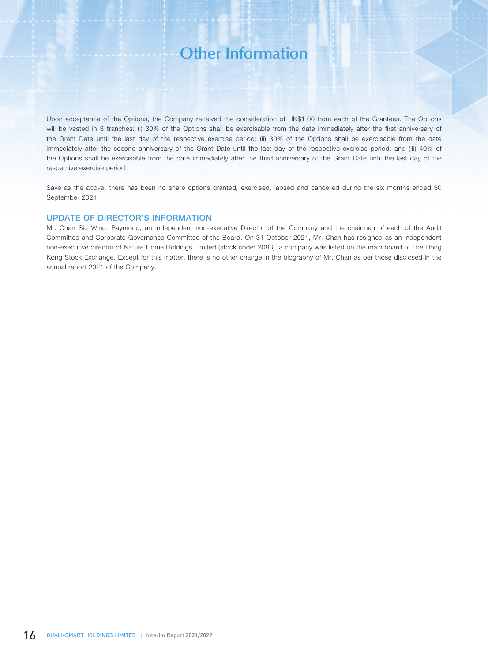Upon acceptance of the Options, the Company received the consideration of HK\$1.00 from each of the Grantees. The Options will be vested in 3 tranches: (i) 30% of the Options shall be exercisable from the date immediately after the first anniversary of the Grant Date until the last day of the respective exercise period; (ii) 30% of the Options shall be exercisable from the date immediately after the second anniversary of the Grant Date until the last day of the respective exercise period; and (iii) 40% of the Options shall be exercisable from the date immediately after the third anniversary of the Grant Date until the last day of the respective exercise period.

Save as the above, there has been no share options granted, exercised, lapsed and cancelled during the six months ended 30 September 2021.

### UPDATE OF DIRECTOR'S INFORMATION

Mr. Chan Siu Wing, Raymond, an independent non-executive Director of the Company and the chairman of each of the Audit Committee and Corporate Governance Committee of the Board. On 31 October 2021, Mr. Chan has resigned as an independent non-executive director of Nature Home Holdings Limited (stock code: 2083), a company was listed on the main board of The Hong Kong Stock Exchange. Except for this matter, there is no other change in the biography of Mr. Chan as per those disclosed in the annual report 2021 of the Company.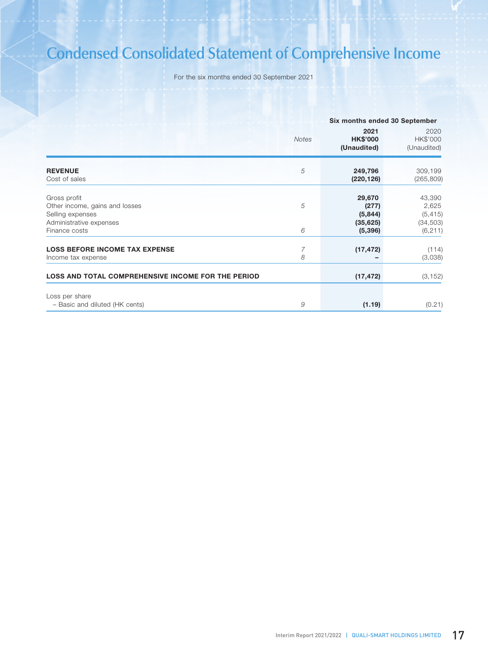# **Condensed Consolidated Statement of Comprehensive Income**

For the six months ended 30 September 2021

|                                                                                                                |              |                                                     | Six months ended 30 September                        |
|----------------------------------------------------------------------------------------------------------------|--------------|-----------------------------------------------------|------------------------------------------------------|
|                                                                                                                | <b>Notes</b> | 2021<br><b>HK\$'000</b><br>(Unaudited)              | 2020<br>HK\$'000<br>(Unaudited)                      |
| <b>REVENUE</b><br>Cost of sales                                                                                | 5            | 249,796<br>(220, 126)                               | 309,199<br>(265, 809)                                |
| Gross profit<br>Other income, gains and losses<br>Selling expenses<br>Administrative expenses<br>Finance costs | 5<br>6       | 29,670<br>(277)<br>(5,844)<br>(35, 625)<br>(5, 396) | 43,390<br>2,625<br>(5, 415)<br>(34, 503)<br>(6, 211) |
| <b>LOSS BEFORE INCOME TAX EXPENSE</b><br>Income tax expense                                                    | 7<br>8       | (17, 472)                                           | (114)<br>(3,038)                                     |
| <b>LOSS AND TOTAL COMPREHENSIVE INCOME FOR THE PERIOD</b>                                                      |              | (17, 472)                                           | (3, 152)                                             |
| Loss per share<br>- Basic and diluted (HK cents)                                                               | 9            | (1.19)                                              | (0.21)                                               |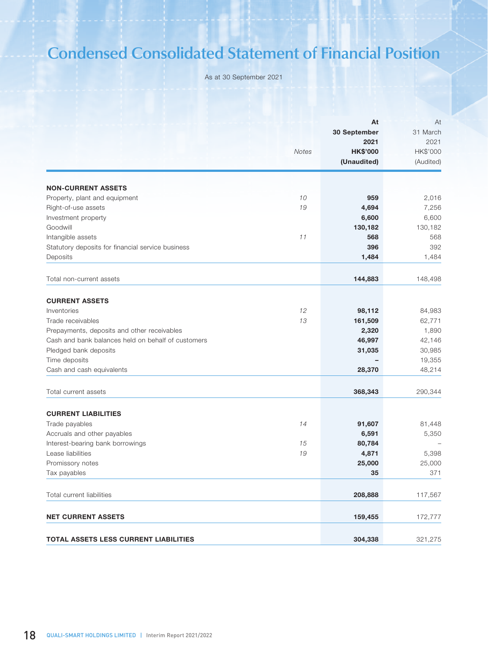# **Condensed Consolidated Statement of Financial Position**

As at 30 September 2021

|                                                    | <b>Notes</b> | At<br>30 September<br>2021<br><b>HK\$'000</b><br>(Unaudited) | At<br>31 March<br>2021<br>HK\$'000<br>(Audited) |
|----------------------------------------------------|--------------|--------------------------------------------------------------|-------------------------------------------------|
| <b>NON-CURRENT ASSETS</b>                          |              |                                                              |                                                 |
| Property, plant and equipment                      | 10           | 959                                                          | 2,016                                           |
| Right-of-use assets                                | 19           | 4,694                                                        | 7,256                                           |
| Investment property                                |              | 6,600                                                        | 6,600                                           |
| Goodwill                                           |              | 130,182                                                      | 130,182                                         |
| Intangible assets                                  | 11           | 568                                                          | 568                                             |
| Statutory deposits for financial service business  |              | 396                                                          | 392                                             |
| Deposits                                           |              | 1,484                                                        | 1,484                                           |
| Total non-current assets                           |              | 144,883                                                      | 148,498                                         |
|                                                    |              |                                                              |                                                 |
| <b>CURRENT ASSETS</b>                              |              |                                                              |                                                 |
| Inventories                                        | 12           | 98,112                                                       | 84,983                                          |
| Trade receivables                                  | 13           | 161,509                                                      | 62,771                                          |
| Prepayments, deposits and other receivables        |              | 2,320                                                        | 1,890                                           |
| Cash and bank balances held on behalf of customers |              | 46,997                                                       | 42,146                                          |
| Pledged bank deposits                              |              | 31,035                                                       | 30,985                                          |
| Time deposits                                      |              |                                                              | 19,355                                          |
| Cash and cash equivalents                          |              | 28,370                                                       | 48,214                                          |
| Total current assets                               |              | 368,343                                                      | 290,344                                         |
| <b>CURRENT LIABILITIES</b>                         |              |                                                              |                                                 |
| Trade payables                                     | 14           | 91,607                                                       | 81,448                                          |
| Accruals and other payables                        |              | 6,591                                                        | 5,350                                           |
| Interest-bearing bank borrowings                   | 15           | 80,784                                                       |                                                 |
| Lease liabilities                                  | 19           | 4,871                                                        | 5,398                                           |
| Promissory notes                                   |              | 25,000                                                       | 25,000                                          |
| Tax payables                                       |              | 35                                                           | 371                                             |
| Total current liabilities                          |              | 208,888                                                      | 117,567                                         |
| <b>NET CURRENT ASSETS</b>                          |              | 159,455                                                      | 172,777                                         |
| TOTAL ASSETS LESS CURRENT LIABILITIES              |              | 304,338                                                      | 321,275                                         |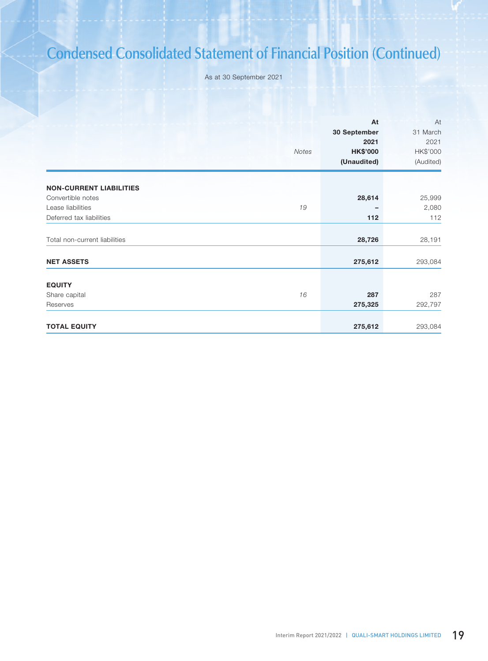# **Condensed Consolidated Statement of Financial Position (Continued)**

As at 30 September 2021

|                                | Notes | At<br>30 September<br>2021<br><b>HK\$'000</b><br>(Unaudited) | At<br>31 March<br>2021<br>HK\$'000<br>(Audited) |
|--------------------------------|-------|--------------------------------------------------------------|-------------------------------------------------|
| <b>NON-CURRENT LIABILITIES</b> |       |                                                              |                                                 |
| Convertible notes              |       | 28,614                                                       | 25,999                                          |
| Lease liabilities              | 19    |                                                              | 2,080                                           |
| Deferred tax liabilities       |       | 112                                                          | 112                                             |
| Total non-current liabilities  |       | 28,726                                                       | 28,191                                          |
| <b>NET ASSETS</b>              |       | 275,612                                                      | 293,084                                         |
|                                |       |                                                              |                                                 |
| <b>EQUITY</b>                  |       |                                                              |                                                 |
| Share capital                  | 16    | 287                                                          | 287                                             |
| Reserves                       |       | 275,325                                                      | 292,797                                         |
| <b>TOTAL EQUITY</b>            |       | 275,612                                                      | 293,084                                         |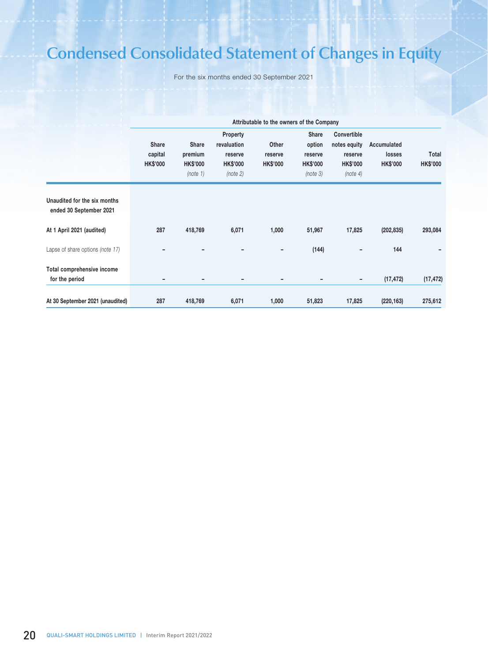# **Condensed Consolidated Statement of Changes in Equity**

For the six months ended 30 September 2021

|                                                         |                                            |                                                        |                                                                          | Attributable to the owners of the Company |                                                           |                                                                       |                                          |                          |
|---------------------------------------------------------|--------------------------------------------|--------------------------------------------------------|--------------------------------------------------------------------------|-------------------------------------------|-----------------------------------------------------------|-----------------------------------------------------------------------|------------------------------------------|--------------------------|
|                                                         | <b>Share</b><br>capital<br><b>HK\$'000</b> | <b>Share</b><br>premium<br><b>HK\$'000</b><br>(note 1) | <b>Property</b><br>revaluation<br>reserve<br><b>HK\$'000</b><br>(note 2) | Other<br>reserve<br><b>HK\$'000</b>       | Share<br>option<br>reserve<br><b>HK\$'000</b><br>(note 3) | Convertible<br>notes equity<br>reserve<br><b>HK\$'000</b><br>(note 4) | Accumulated<br>losses<br><b>HK\$'000</b> | Total<br><b>HK\$'000</b> |
| Unaudited for the six months<br>ended 30 September 2021 |                                            |                                                        |                                                                          |                                           |                                                           |                                                                       |                                          |                          |
| At 1 April 2021 (audited)                               | 287                                        | 418,769                                                | 6,071                                                                    | 1,000                                     | 51,967                                                    | 17,825                                                                | (202, 835)                               | 293,084                  |
| Lapse of share options (note 17)                        |                                            |                                                        |                                                                          | $\overline{\phantom{a}}$                  | (144)                                                     |                                                                       | 144                                      |                          |
| Total comprehensive income<br>for the period            |                                            |                                                        | -                                                                        | $\overline{\phantom{a}}$                  |                                                           | -                                                                     | (17, 472)                                | (17, 472)                |
| At 30 September 2021 (unaudited)                        | 287                                        | 418,769                                                | 6,071                                                                    | 1,000                                     | 51,823                                                    | 17,825                                                                | (220, 163)                               | 275,612                  |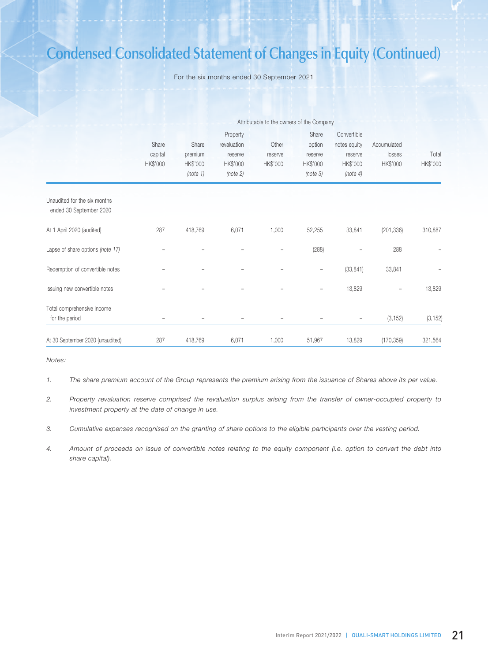# **Condensed Consolidated Statement of Changes in Equity (Continued)**

For the six months ended 30 September 2021

|                                                         |                              |                                          |                                                            | Attributable to the owners of the Company |                                                    |                                                                |                                   |                   |
|---------------------------------------------------------|------------------------------|------------------------------------------|------------------------------------------------------------|-------------------------------------------|----------------------------------------------------|----------------------------------------------------------------|-----------------------------------|-------------------|
|                                                         | Share<br>capital<br>HK\$'000 | Share<br>premium<br>HK\$'000<br>(note 1) | Property<br>revaluation<br>reserve<br>HK\$'000<br>(note 2) | Other<br>reserve<br>HK\$'000              | Share<br>option<br>reserve<br>HK\$'000<br>(note 3) | Convertible<br>notes equity<br>reserve<br>HK\$'000<br>(note 4) | Accumulated<br>losses<br>HK\$'000 | Total<br>HK\$'000 |
| Unaudited for the six months<br>ended 30 September 2020 |                              |                                          |                                                            |                                           |                                                    |                                                                |                                   |                   |
| At 1 April 2020 (audited)                               | 287                          | 418,769                                  | 6,071                                                      | 1,000                                     | 52,255                                             | 33,841                                                         | (201, 336)                        | 310,887           |
| Lapse of share options (note 17)                        |                              |                                          |                                                            |                                           | (288)                                              |                                                                | 288                               |                   |
| Redemption of convertible notes                         |                              |                                          |                                                            |                                           |                                                    | (33, 841)                                                      | 33,841                            |                   |
| Issuing new convertible notes                           |                              |                                          |                                                            |                                           | $\overline{\phantom{a}}$                           | 13,829                                                         | -                                 | 13,829            |
| Total comprehensive income<br>for the period            |                              |                                          |                                                            |                                           |                                                    | $\overline{\phantom{a}}$                                       | (3, 152)                          | (3, 152)          |
| At 30 September 2020 (unaudited)                        | 287                          | 418,769                                  | 6,071                                                      | 1,000                                     | 51,967                                             | 13,829                                                         | (170, 359)                        | 321,564           |

*Notes:*

*1. The share premium account of the Group represents the premium arising from the issuance of Shares above its per value.*

*2. Property revaluation reserve comprised the revaluation surplus arising from the transfer of owner-occupied property to investment property at the date of change in use.*

*3. Cumulative expenses recognised on the granting of share options to the eligible participants over the vesting period.*

*4. Amount of proceeds on issue of convertible notes relating to the equity component (i.e. option to convert the debt into share capital).*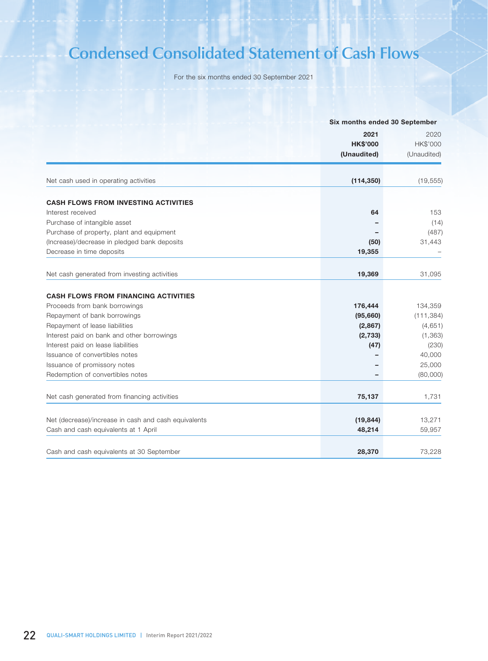# **Condensed Consolidated Statement of Cash Flows**

For the six months ended 30 September 2021

|                                                      |                 | Six months ended 30 September |  |
|------------------------------------------------------|-----------------|-------------------------------|--|
|                                                      | 2021            | 2020                          |  |
|                                                      | <b>HK\$'000</b> | HK\$'000                      |  |
|                                                      | (Unaudited)     | (Unaudited)                   |  |
| Net cash used in operating activities                | (114, 350)      | (19, 555)                     |  |
|                                                      |                 |                               |  |
| <b>CASH FLOWS FROM INVESTING ACTIVITIES</b>          |                 |                               |  |
| Interest received                                    | 64              | 153                           |  |
| Purchase of intangible asset                         |                 | (14)                          |  |
| Purchase of property, plant and equipment            |                 | (487)                         |  |
| (Increase)/decrease in pledged bank deposits         | (50)            | 31,443                        |  |
| Decrease in time deposits                            | 19,355          |                               |  |
|                                                      |                 |                               |  |
| Net cash generated from investing activities         | 19,369          | 31,095                        |  |
| <b>CASH FLOWS FROM FINANCING ACTIVITIES</b>          |                 |                               |  |
| Proceeds from bank borrowings                        | 176,444         | 134,359                       |  |
| Repayment of bank borrowings                         | (95,660)        | (111, 384)                    |  |
| Repayment of lease liabilities                       | (2,867)         | (4,651)                       |  |
| Interest paid on bank and other borrowings           | (2,733)         | (1, 363)                      |  |
| Interest paid on lease liabilities                   | (47)            | (230)                         |  |
| Issuance of convertibles notes                       |                 | 40,000                        |  |
| Issuance of promissory notes                         |                 | 25,000                        |  |
| Redemption of convertibles notes                     | -               | (80,000)                      |  |
|                                                      |                 |                               |  |
| Net cash generated from financing activities         | 75,137          | 1,731                         |  |
|                                                      |                 |                               |  |
| Net (decrease)/increase in cash and cash equivalents | (19, 844)       | 13,271                        |  |
| Cash and cash equivalents at 1 April                 | 48,214          | 59,957                        |  |
| Cash and cash equivalents at 30 September            | 28,370          | 73,228                        |  |
|                                                      |                 |                               |  |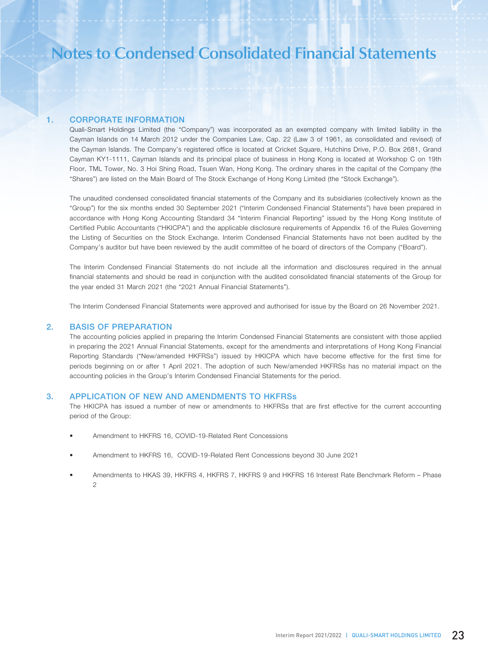# 1. CORPORATE INFORMATION

Quali-Smart Holdings Limited (the "Company") was incorporated as an exempted company with limited liability in the Cayman Islands on 14 March 2012 under the Companies Law, Cap. 22 (Law 3 of 1961, as consolidated and revised) of the Cayman Islands. The Company's registered office is located at Cricket Square, Hutchins Drive, P.O. Box 2681, Grand Cayman KY1-1111, Cayman Islands and its principal place of business in Hong Kong is located at Workshop C on 19th Floor, TML Tower, No. 3 Hoi Shing Road, Tsuen Wan, Hong Kong. The ordinary shares in the capital of the Company (the "Shares") are listed on the Main Board of The Stock Exchange of Hong Kong Limited (the "Stock Exchange").

The unaudited condensed consolidated financial statements of the Company and its subsidiaries (collectively known as the "Group") for the six months ended 30 September 2021 ("Interim Condensed Financial Statements") have been prepared in accordance with Hong Kong Accounting Standard 34 "Interim Financial Reporting" issued by the Hong Kong Institute of Certified Public Accountants ("HKICPA") and the applicable disclosure requirements of Appendix 16 of the Rules Governing the Listing of Securities on the Stock Exchange. Interim Condensed Financial Statements have not been audited by the Company's auditor but have been reviewed by the audit committee of he board of directors of the Company ("Board").

The Interim Condensed Financial Statements do not include all the information and disclosures required in the annual financial statements and should be read in conjunction with the audited consolidated financial statements of the Group for the year ended 31 March 2021 (the "2021 Annual Financial Statements").

The Interim Condensed Financial Statements were approved and authorised for issue by the Board on 26 November 2021.

### 2. BASIS OF PREPARATION

The accounting policies applied in preparing the Interim Condensed Financial Statements are consistent with those applied in preparing the 2021 Annual Financial Statements, except for the amendments and interpretations of Hong Kong Financial Reporting Standards ("New/amended HKFRSs") issued by HKICPA which have become effective for the first time for periods beginning on or after 1 April 2021. The adoption of such New/amended HKFRSs has no material impact on the accounting policies in the Group's Interim Condensed Financial Statements for the period.

### 3. APPLICATION OF NEW AND AMENDMENTS TO HKFRSs

The HKICPA has issued a number of new or amendments to HKFRSs that are first effective for the current accounting period of the Group:

- Amendment to HKFRS 16, COVID-19-Related Rent Concessions
- Amendment to HKFRS 16, COVID-19-Related Rent Concessions beyond 30 June 2021
- Amendments to HKAS 39, HKFRS 4, HKFRS 7, HKFRS 9 and HKFRS 16 Interest Rate Benchmark Reform Phase  $\mathfrak{D}$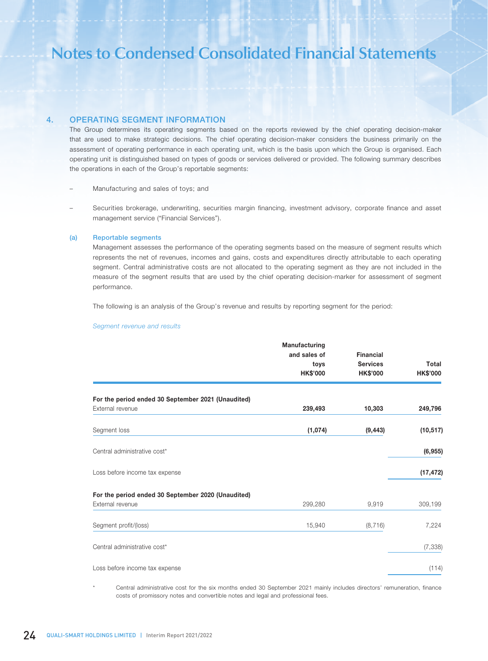### 4. OPERATING SEGMENT INFORMATION

The Group determines its operating segments based on the reports reviewed by the chief operating decision-maker that are used to make strategic decisions. The chief operating decision-maker considers the business primarily on the assessment of operating performance in each operating unit, which is the basis upon which the Group is organised. Each operating unit is distinguished based on types of goods or services delivered or provided. The following summary describes the operations in each of the Group's reportable segments:

– Manufacturing and sales of toys; and

– Securities brokerage, underwriting, securities margin financing, investment advisory, corporate finance and asset management service ("Financial Services").

### (a) Reportable segments

Management assesses the performance of the operating segments based on the measure of segment results which represents the net of revenues, incomes and gains, costs and expenditures directly attributable to each operating segment. Central administrative costs are not allocated to the operating segment as they are not included in the measure of the segment results that are used by the chief operating decision-marker for assessment of segment performance.

The following is an analysis of the Group's revenue and results by reporting segment for the period:

#### *Segment revenue and results*

|                                                    | Manufacturing   |                  |                 |
|----------------------------------------------------|-----------------|------------------|-----------------|
|                                                    | and sales of    | <b>Financial</b> |                 |
|                                                    | toys            | <b>Services</b>  | Total           |
|                                                    | <b>HK\$'000</b> | <b>HK\$'000</b>  | <b>HK\$'000</b> |
| For the period ended 30 September 2021 (Unaudited) |                 |                  |                 |
| External revenue                                   | 239,493         | 10,303           | 249,796         |
| Segment loss                                       | (1,074)         | (9, 443)         | (10, 517)       |
| Central administrative cost*                       |                 |                  | (6, 955)        |
| Loss before income tax expense                     |                 |                  | (17, 472)       |
| For the period ended 30 September 2020 (Unaudited) |                 |                  |                 |
| External revenue                                   | 299,280         | 9,919            | 309,199         |
| Segment profit/(loss)                              | 15,940          | (8, 716)         | 7,224           |
| Central administrative cost*                       |                 |                  | (7, 338)        |
| Loss before income tax expense                     |                 |                  | (114)           |

Central administrative cost for the six months ended 30 September 2021 mainly includes directors' remuneration, finance costs of promissory notes and convertible notes and legal and professional fees.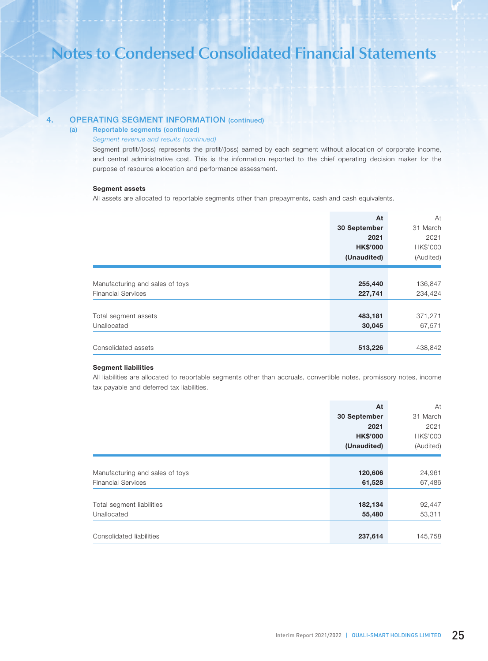# 4. OPERATING SEGMENT INFORMATION (continued)

### (a) Reportable segments (continued)

### *Segment revenue and results (continued)*

Segment profit/(loss) represents the profit/(loss) earned by each segment without allocation of corporate income, and central administrative cost. This is the information reported to the chief operating decision maker for the purpose of resource allocation and performance assessment.

### Segment assets

All assets are allocated to reportable segments other than prepayments, cash and cash equivalents.

|                                 | At              | At        |
|---------------------------------|-----------------|-----------|
|                                 | 30 September    | 31 March  |
|                                 | 2021            | 2021      |
|                                 | <b>HK\$'000</b> | HK\$'000  |
|                                 | (Unaudited)     | (Audited) |
|                                 |                 |           |
| Manufacturing and sales of toys | 255,440         | 136,847   |
| <b>Financial Services</b>       | 227,741         | 234,424   |
|                                 |                 |           |
| Total segment assets            | 483,181         | 371,271   |
| Unallocated                     | 30,045          | 67,571    |
|                                 |                 |           |
| Consolidated assets             | 513,226         | 438,842   |

### Segment liabilities

All liabilities are allocated to reportable segments other than accruals, convertible notes, promissory notes, income tax payable and deferred tax liabilities.

|                                 | At              | At        |
|---------------------------------|-----------------|-----------|
|                                 | 30 September    | 31 March  |
|                                 | 2021            | 2021      |
|                                 | <b>HK\$'000</b> | HK\$'000  |
|                                 | (Unaudited)     | (Audited) |
|                                 |                 |           |
| Manufacturing and sales of toys | 120,606         | 24,961    |
| <b>Financial Services</b>       | 61,528          | 67,486    |
|                                 |                 |           |
| Total segment liabilities       | 182,134         | 92,447    |
| Unallocated                     | 55,480          | 53,311    |
|                                 |                 |           |
| Consolidated liabilities        | 237,614         | 145,758   |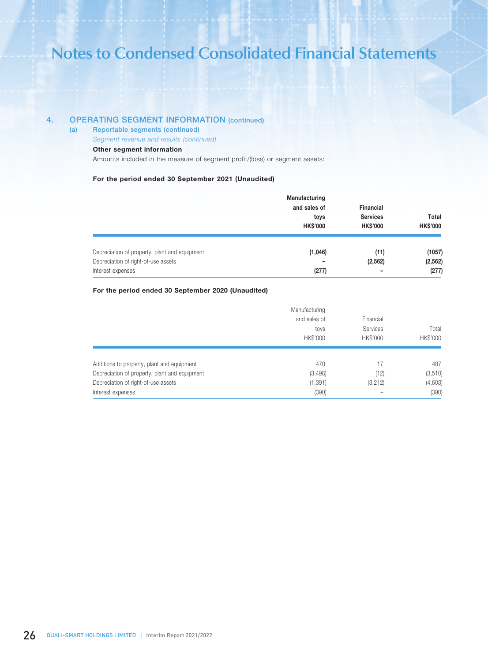# 4. OPERATING SEGMENT INFORMATION (continued)

(a) Reportable segments (continued)

*Segment revenue and results (continued)*

## Other segment information

Amounts included in the measure of segment profit/(loss) or segment assets:

### For the period ended 30 September 2021 (Unaudited)

|                                                          | <b>Manufacturing</b><br>and sales of<br>toys<br><b>HK\$'000</b> | <b>Financial</b><br><b>Services</b><br><b>HK\$'000</b> | Total<br><b>HK\$'000</b> |
|----------------------------------------------------------|-----------------------------------------------------------------|--------------------------------------------------------|--------------------------|
| Depreciation of property, plant and equipment            | (1,046)                                                         | (11)                                                   | (1057)                   |
| Depreciation of right-of-use assets<br>Interest expenses | -<br>(277)                                                      | (2, 562)                                               | (2, 562)<br>(277)        |

### For the period ended 30 September 2020 (Unaudited)

|                                               | Manufacturing<br>and sales of<br>toys<br><b>HK\$'000</b> | Financial<br>Services<br>HK\$'000 | Total<br>HK\$'000 |
|-----------------------------------------------|----------------------------------------------------------|-----------------------------------|-------------------|
| Additions to property, plant and equipment    | 470                                                      | 17                                | 487               |
| Depreciation of property, plant and equipment | (3, 498)                                                 | (12)                              | (3, 510)          |
| Depreciation of right-of-use assets           | (1, 391)                                                 | (3,212)                           | (4,603)           |
| Interest expenses                             | (390)                                                    |                                   | (390)             |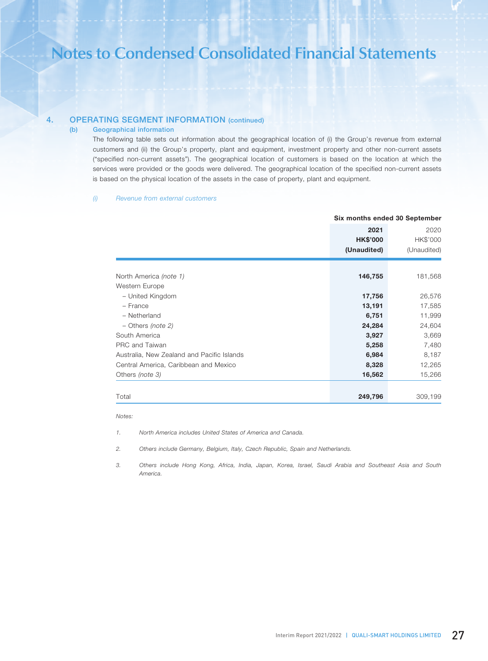# 4. OPERATING SEGMENT INFORMATION (continued)

### (b) Geographical information

The following table sets out information about the geographical location of (i) the Group's revenue from external customers and (ii) the Group's property, plant and equipment, investment property and other non-current assets ("specified non-current assets"). The geographical location of customers is based on the location at which the services were provided or the goods were delivered. The geographical location of the specified non-current assets is based on the physical location of the assets in the case of property, plant and equipment.

### *(i) Revenue from external customers*

|                                            | Six months ended 30 September          |                                 |
|--------------------------------------------|----------------------------------------|---------------------------------|
|                                            | 2021<br><b>HK\$'000</b><br>(Unaudited) | 2020<br>HK\$'000<br>(Unaudited) |
|                                            |                                        |                                 |
| North America (note 1)                     | 146,755                                | 181,568                         |
| Western Europe                             |                                        |                                 |
| - United Kingdom                           | 17,756                                 | 26,576                          |
| - France                                   | 13,191                                 | 17,585                          |
| - Netherland                               | 6,751                                  | 11,999                          |
| $-$ Others <i>(note 2)</i>                 | 24,284                                 | 24,604                          |
| South America                              | 3,927                                  | 3,669                           |
| PRC and Taiwan                             | 5,258                                  | 7,480                           |
| Australia, New Zealand and Pacific Islands | 6,984                                  | 8,187                           |
| Central America, Caribbean and Mexico      | 8,328                                  | 12,265                          |
| Others (note 3)                            | 16,562                                 | 15,266                          |
| Total                                      | 249,796                                | 309,199                         |

#### *Notes:*

*1. North America includes United States of America and Canada.*

*2. Others include Germany, Belgium, Italy, Czech Republic, Spain and Netherlands.*

*3. Others include Hong Kong, Africa, India, Japan, Korea, Israel, Saudi Arabia and Southeast Asia and South America.*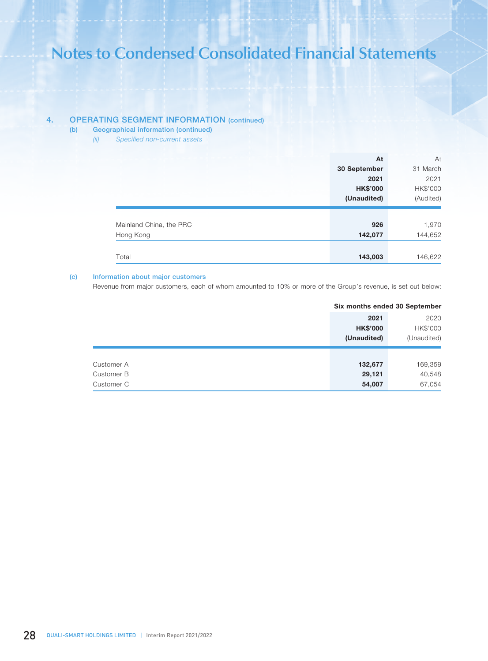# 4. OPERATING SEGMENT INFORMATION (continued)

- (b) Geographical information (continued)
	- *(ii) Specified non-current assets*

|                         | At              | At        |
|-------------------------|-----------------|-----------|
|                         | 30 September    | 31 March  |
|                         | 2021            | 2021      |
|                         | <b>HK\$'000</b> | HK\$'000  |
|                         | (Unaudited)     | (Audited) |
|                         |                 |           |
| Mainland China, the PRC | 926             | 1,970     |
| Hong Kong               | 142,077         | 144,652   |
|                         |                 |           |
| Total                   |                 | 146,622   |

### (c) Information about major customers

Revenue from major customers, each of whom amounted to 10% or more of the Group's revenue, is set out below:

| 2021            | 2020        |
|-----------------|-------------|
| <b>HK\$'000</b> | HK\$'000    |
| (Unaudited)     | (Unaudited) |
|                 |             |
| 132,677         | 169,359     |
| 29,121          | 40,548      |
| 54,007          | 67,054      |
|                 |             |

#### Six months ended 30 September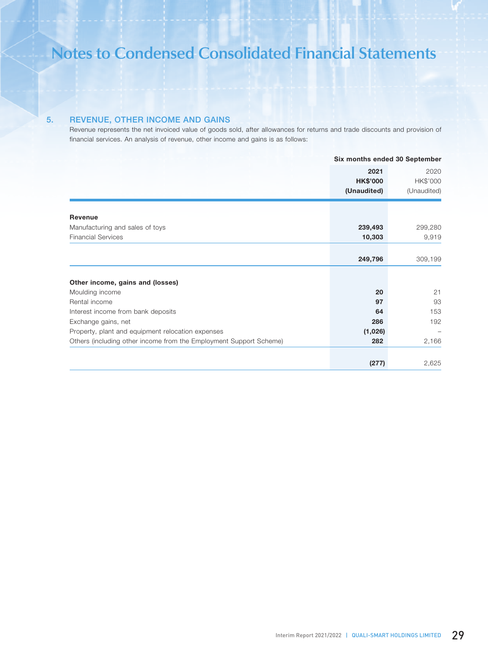# 5. REVENUE, OTHER INCOME AND GAINS

Revenue represents the net invoiced value of goods sold, after allowances for returns and trade discounts and provision of financial services. An analysis of revenue, other income and gains is as follows:

|                                                                    | Six months ended 30 September |             |
|--------------------------------------------------------------------|-------------------------------|-------------|
|                                                                    | 2021                          | 2020        |
|                                                                    | <b>HK\$'000</b>               | HK\$'000    |
|                                                                    | (Unaudited)                   | (Unaudited) |
| <b>Revenue</b>                                                     |                               |             |
| Manufacturing and sales of toys                                    | 239,493                       | 299,280     |
| <b>Financial Services</b>                                          | 10,303                        | 9,919       |
|                                                                    |                               |             |
|                                                                    |                               |             |
|                                                                    | 249,796                       | 309,199     |
|                                                                    |                               |             |
| Other income, gains and (losses)                                   |                               |             |
| Moulding income                                                    | 20                            | 21          |
| Rental income                                                      | 97                            | 93          |
| Interest income from bank deposits                                 | 64                            | 153         |
| Exchange gains, net                                                | 286                           | 192         |
| Property, plant and equipment relocation expenses                  | (1,026)                       |             |
| Others (including other income from the Employment Support Scheme) | 282                           | 2,166       |
|                                                                    |                               |             |
|                                                                    | (277)                         | 2,625       |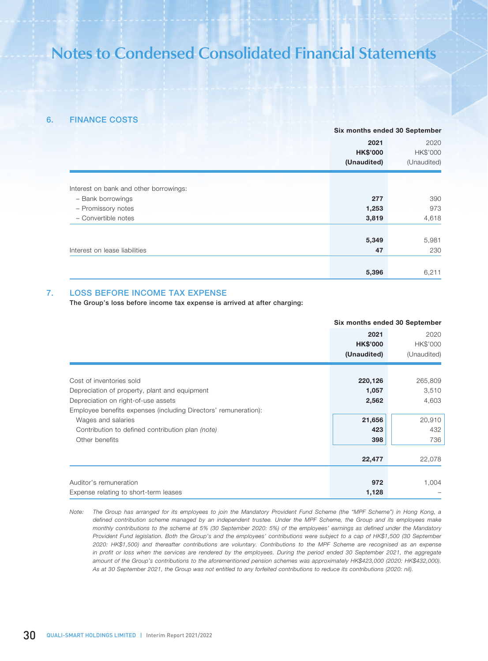## 6. FINANCE COSTS

|                                        | Six months ended 30 September |             |
|----------------------------------------|-------------------------------|-------------|
|                                        | 2021                          | 2020        |
|                                        | <b>HK\$'000</b>               | HK\$'000    |
|                                        | (Unaudited)                   | (Unaudited) |
|                                        |                               |             |
| Interest on bank and other borrowings: |                               |             |
| - Bank borrowings                      | 277                           | 390         |
| - Promissory notes                     | 1,253                         | 973         |
| - Convertible notes                    | 3,819                         | 4,618       |
|                                        |                               |             |
|                                        | 5,349                         | 5,981       |
| Interest on lease liabilities          | 47                            | 230         |
|                                        |                               |             |
|                                        | 5,396                         | 6,211       |

### 7. LOSS BEFORE INCOME TAX EXPENSE

The Group's loss before income tax expense is arrived at after charging:

|                                                                 | Six months ended 30 September |             |
|-----------------------------------------------------------------|-------------------------------|-------------|
|                                                                 | 2021                          | 2020        |
|                                                                 | <b>HK\$'000</b>               | HK\$'000    |
|                                                                 | (Unaudited)                   | (Unaudited) |
|                                                                 |                               |             |
| Cost of inventories sold                                        | 220,126                       | 265,809     |
| Depreciation of property, plant and equipment                   | 1,057                         | 3,510       |
| Depreciation on right-of-use assets                             | 2,562                         | 4,603       |
| Employee benefits expenses (including Directors' remuneration): |                               |             |
| Wages and salaries                                              | 21,656                        | 20,910      |
| Contribution to defined contribution plan (note)                | 423                           | 432         |
| Other benefits                                                  | 398                           | 736         |
|                                                                 |                               |             |
|                                                                 | 22,477                        | 22,078      |
|                                                                 |                               |             |
| Auditor's remuneration                                          | 972                           | 1,004       |
| Expense relating to short-term leases                           | 1,128                         |             |

*Note: The Group has arranged for its employees to join the Mandatory Provident Fund Scheme (the "MPF Scheme") in Hong Kong, a defined contribution scheme managed by an independent trustee. Under the MPF Scheme, the Group and its employees make monthly contributions to the scheme at 5% (30 September 2020: 5%) of the employees' earnings as defined under the Mandatory Provident Fund legislation. Both the Group's and the employees' contributions were subject to a cap of HK\$1,500 (30 September 2020: HK\$1,500) and thereafter contributions are voluntary. Contributions to the MPF Scheme are recognised as an expense in profit or loss when the services are rendered by the employees. During the period ended 30 September 2021, the aggregate amount of the Group's contributions to the aforementioned pension schemes was approximately HK\$423,000 (2020: HK\$432,000). As at 30 September 2021, the Group was not entitled to any forfeited contributions to reduce its contributions (2020: nil).*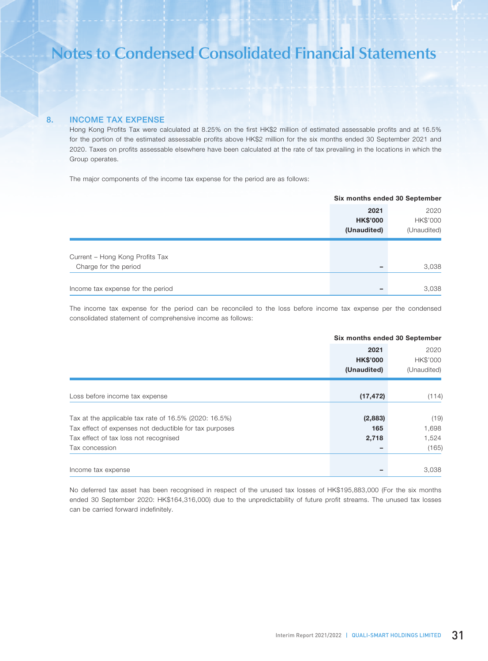# 8. INCOME TAX EXPENSE

Hong Kong Profits Tax were calculated at 8.25% on the first HK\$2 million of estimated assessable profits and at 16.5% for the portion of the estimated assessable profits above HK\$2 million for the six months ended 30 September 2021 and 2020. Taxes on profits assessable elsewhere have been calculated at the rate of tax prevailing in the locations in which the Group operates.

The major components of the income tax expense for the period are as follows:

|                                   | Six months ended 30 September |             |
|-----------------------------------|-------------------------------|-------------|
|                                   | 2021                          | 2020        |
|                                   | <b>HK\$'000</b>               | HK\$'000    |
|                                   | (Unaudited)                   | (Unaudited) |
|                                   |                               |             |
| Current - Hong Kong Profits Tax   |                               |             |
| Charge for the period             | $\overline{\phantom{0}}$      | 3,038       |
|                                   |                               |             |
| Income tax expense for the period |                               | 3,038       |

The income tax expense for the period can be reconciled to the loss before income tax expense per the condensed consolidated statement of comprehensive income as follows:

|                                                        | Six months ended 30 September |             |
|--------------------------------------------------------|-------------------------------|-------------|
|                                                        | 2021                          | 2020        |
|                                                        | <b>HK\$'000</b>               | HK\$'000    |
|                                                        | (Unaudited)                   | (Unaudited) |
|                                                        |                               |             |
| Loss before income tax expense                         | (17, 472)                     | (114)       |
|                                                        |                               |             |
| Tax at the applicable tax rate of 16.5% (2020: 16.5%)  | (2,883)                       | (19)        |
| Tax effect of expenses not deductible for tax purposes | 165                           | 1,698       |
| Tax effect of tax loss not recognised                  | 2,718                         | 1,524       |
| Tax concession                                         |                               | (165)       |
| Income tax expense                                     |                               | 3,038       |

No deferred tax asset has been recognised in respect of the unused tax losses of HK\$195,883,000 (For the six months ended 30 September 2020: HK\$164,316,000) due to the unpredictability of future profit streams. The unused tax losses can be carried forward indefinitely.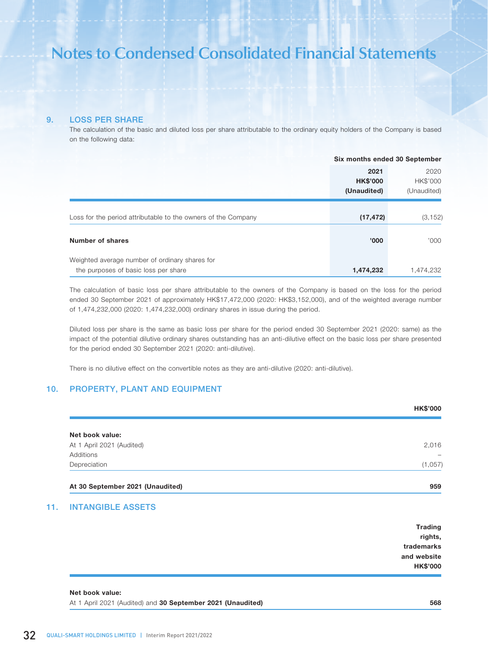### 9. LOSS PER SHARE

The calculation of the basic and diluted loss per share attributable to the ordinary equity holders of the Company is based on the following data:

|                                                               | Six months ended 30 September |             |
|---------------------------------------------------------------|-------------------------------|-------------|
|                                                               | 2021                          | 2020        |
|                                                               | <b>HK\$'000</b>               | HK\$'000    |
|                                                               | (Unaudited)                   | (Unaudited) |
|                                                               |                               |             |
| Loss for the period attributable to the owners of the Company | (17, 472)                     | (3, 152)    |
|                                                               |                               |             |
| Number of shares                                              | '000'                         | '000'       |
| Weighted average number of ordinary shares for                |                               |             |
| the purposes of basic loss per share                          | 1,474,232                     | 1,474,232   |

The calculation of basic loss per share attributable to the owners of the Company is based on the loss for the period ended 30 September 2021 of approximately HK\$17,472,000 (2020: HK\$3,152,000), and of the weighted average number of 1,474,232,000 (2020: 1,474,232,000) ordinary shares in issue during the period.

Diluted loss per share is the same as basic loss per share for the period ended 30 September 2021 (2020: same) as the impact of the potential dilutive ordinary shares outstanding has an anti-dilutive effect on the basic loss per share presented for the period ended 30 September 2021 (2020: anti-dilutive).

There is no dilutive effect on the convertible notes as they are anti-dilutive (2020: anti-dilutive).

# 10. PROPERTY, PLANT AND EQUIPMENT

|                           | <b>HK\$'000</b>          |
|---------------------------|--------------------------|
| Net book value:           |                          |
| At 1 April 2021 (Audited) | 2,016                    |
| Additions                 | $\overline{\phantom{0}}$ |
| Depreciation              | (1,057)                  |

### 11. INTANGIBLE ASSETS

| <b>Trading</b><br>rights, |
|---------------------------|
| trademarks                |
| and website               |
| <b>HK\$'000</b>           |

### Net book value:

At 1 April 2021 (Audited) and 30 September 2021 (Unaudited) 568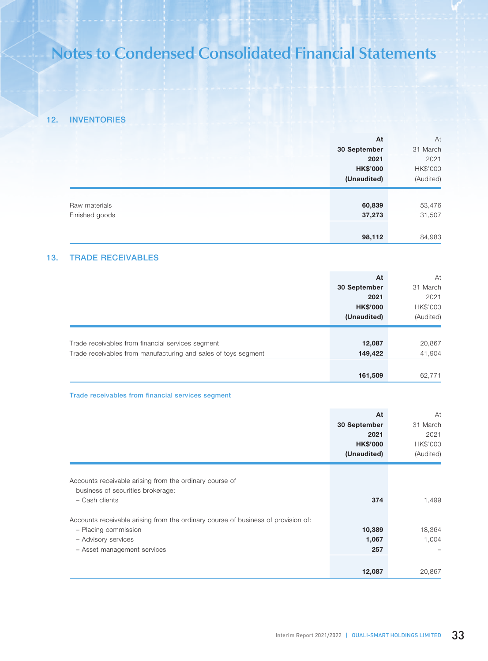# 12. INVENTORIES

|                | At              | At        |
|----------------|-----------------|-----------|
|                | 30 September    | 31 March  |
|                | 2021            | 2021      |
|                | <b>HK\$'000</b> | HK\$'000  |
|                | (Unaudited)     | (Audited) |
|                |                 |           |
| Raw materials  | 60,839          | 53,476    |
| Finished goods | 37,273          | 31,507    |
|                |                 |           |
|                | 98,112          | 84,983    |

# 13. TRADE RECEIVABLES

|                                                                | At              | At        |
|----------------------------------------------------------------|-----------------|-----------|
|                                                                | 30 September    | 31 March  |
|                                                                | 2021            | 2021      |
|                                                                | <b>HK\$'000</b> | HK\$'000  |
|                                                                | (Unaudited)     | (Audited) |
|                                                                |                 |           |
| Trade receivables from financial services segment              | 12,087          | 20,867    |
| Trade receivables from manufacturing and sales of toys segment | 149,422         | 41,904    |
|                                                                |                 |           |
|                                                                | 161,509         | 62,771    |

# Trade receivables from financial services segment

|                                                                                   | At<br>30 September<br>2021<br><b>HK\$'000</b> | At<br>31 March<br>2021<br>HK\$'000 |
|-----------------------------------------------------------------------------------|-----------------------------------------------|------------------------------------|
|                                                                                   | (Unaudited)                                   | (Audited)                          |
|                                                                                   |                                               |                                    |
| Accounts receivable arising from the ordinary course of                           |                                               |                                    |
| business of securities brokerage:                                                 |                                               |                                    |
| - Cash clients                                                                    | 374                                           | 1,499                              |
| Accounts receivable arising from the ordinary course of business of provision of: |                                               |                                    |
| - Placing commission                                                              | 10,389                                        | 18,364                             |
| - Advisory services                                                               | 1,067                                         | 1,004                              |
| - Asset management services                                                       | 257                                           |                                    |
|                                                                                   |                                               |                                    |
|                                                                                   | 12,087                                        | 20,867                             |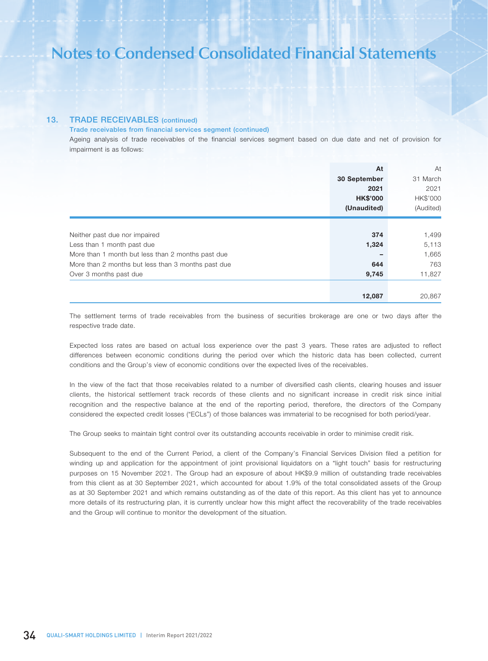# 13. TRADE RECEIVABLES (continued)

### Trade receivables from financial services segment (continued)

Ageing analysis of trade receivables of the financial services segment based on due date and net of provision for impairment is as follows:

|                                                    | At              | At        |
|----------------------------------------------------|-----------------|-----------|
|                                                    | 30 September    | 31 March  |
|                                                    | 2021            | 2021      |
|                                                    | <b>HK\$'000</b> | HK\$'000  |
|                                                    | (Unaudited)     | (Audited) |
|                                                    |                 |           |
| Neither past due nor impaired                      | 374             | 1,499     |
| Less than 1 month past due                         | 1,324           | 5,113     |
| More than 1 month but less than 2 months past due  |                 | 1,665     |
| More than 2 months but less than 3 months past due | 644             | 763       |
| Over 3 months past due                             | 9,745           | 11,827    |
|                                                    | 12,087          | 20,867    |

The settlement terms of trade receivables from the business of securities brokerage are one or two days after the respective trade date.

Expected loss rates are based on actual loss experience over the past 3 years. These rates are adjusted to reflect differences between economic conditions during the period over which the historic data has been collected, current conditions and the Group's view of economic conditions over the expected lives of the receivables.

In the view of the fact that those receivables related to a number of diversified cash clients, clearing houses and issuer clients, the historical settlement track records of these clients and no significant increase in credit risk since initial recognition and the respective balance at the end of the reporting period, therefore, the directors of the Company considered the expected credit losses ("ECLs") of those balances was immaterial to be recognised for both period/year.

The Group seeks to maintain tight control over its outstanding accounts receivable in order to minimise credit risk.

Subsequent to the end of the Current Period, a client of the Company's Financial Services Division filed a petition for winding up and application for the appointment of joint provisional liquidators on a "light touch" basis for restructuring purposes on 15 November 2021. The Group had an exposure of about HK\$9.9 million of outstanding trade receivables from this client as at 30 September 2021, which accounted for about 1.9% of the total consolidated assets of the Group as at 30 September 2021 and which remains outstanding as of the date of this report. As this client has yet to announce more details of its restructuring plan, it is currently unclear how this might affect the recoverability of the trade receivables and the Group will continue to monitor the development of the situation.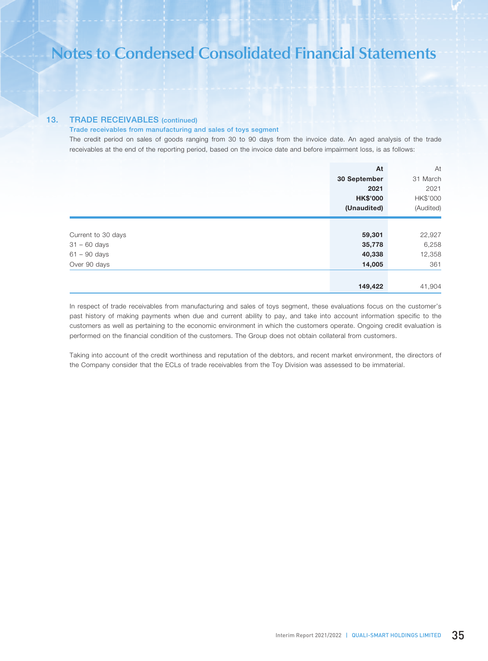# 13. TRADE RECEIVABLES (continued)

### Trade receivables from manufacturing and sales of toys segment

The credit period on sales of goods ranging from 30 to 90 days from the invoice date. An aged analysis of the trade receivables at the end of the reporting period, based on the invoice date and before impairment loss, is as follows:

|                    | At              | At        |
|--------------------|-----------------|-----------|
|                    | 30 September    | 31 March  |
|                    | 2021            | 2021      |
|                    | <b>HK\$'000</b> | HK\$'000  |
|                    | (Unaudited)     | (Audited) |
|                    |                 |           |
| Current to 30 days | 59,301          | 22,927    |
| $31 - 60$ days     | 35,778          | 6,258     |
| $61 - 90$ days     | 40,338          | 12,358    |
| Over 90 days       | 14,005          | 361       |
|                    |                 |           |
|                    | 149,422         | 41,904    |

In respect of trade receivables from manufacturing and sales of toys segment, these evaluations focus on the customer's past history of making payments when due and current ability to pay, and take into account information specific to the customers as well as pertaining to the economic environment in which the customers operate. Ongoing credit evaluation is performed on the financial condition of the customers. The Group does not obtain collateral from customers.

Taking into account of the credit worthiness and reputation of the debtors, and recent market environment, the directors of the Company consider that the ECLs of trade receivables from the Toy Division was assessed to be immaterial.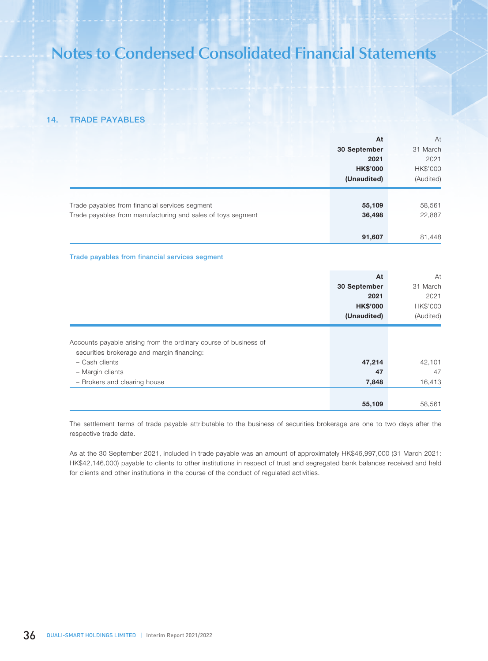# 14. TRADE PAYABLES

|                                                             | At              | At        |
|-------------------------------------------------------------|-----------------|-----------|
|                                                             | 30 September    | 31 March  |
|                                                             | 2021            | 2021      |
|                                                             | <b>HK\$'000</b> | HK\$'000  |
|                                                             | (Unaudited)     | (Audited) |
|                                                             |                 |           |
| Trade payables from financial services segment              | 55,109          | 58,561    |
| Trade payables from manufacturing and sales of toys segment | 36,498          | 22,887    |
|                                                             |                 |           |
|                                                             | 91,607          | 81,448    |

### Trade payables from financial services segment

|                                                                                                                                                                                      | At                    | At                     |
|--------------------------------------------------------------------------------------------------------------------------------------------------------------------------------------|-----------------------|------------------------|
|                                                                                                                                                                                      | 30 September          | 31 March               |
|                                                                                                                                                                                      | 2021                  | 2021                   |
|                                                                                                                                                                                      | <b>HK\$'000</b>       | HK\$'000               |
|                                                                                                                                                                                      | (Unaudited)           | (Audited)              |
| Accounts payable arising from the ordinary course of business of<br>securities brokerage and margin financing:<br>- Cash clients<br>- Margin clients<br>- Brokers and clearing house | 47,214<br>47<br>7,848 | 42,101<br>47<br>16,413 |
|                                                                                                                                                                                      | 55,109                | 58,561                 |

The settlement terms of trade payable attributable to the business of securities brokerage are one to two days after the respective trade date.

As at the 30 September 2021, included in trade payable was an amount of approximately HK\$46,997,000 (31 March 2021: HK\$42,146,000) payable to clients to other institutions in respect of trust and segregated bank balances received and held for clients and other institutions in the course of the conduct of regulated activities.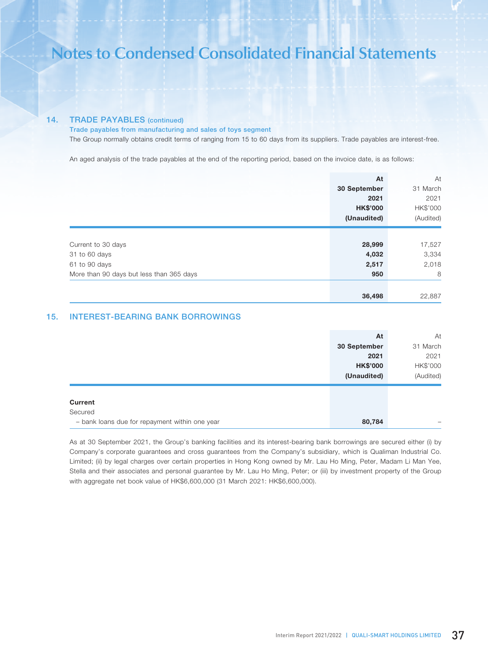### 14. TRADE PAYABLES (continued)

Trade payables from manufacturing and sales of toys segment

The Group normally obtains credit terms of ranging from 15 to 60 days from its suppliers. Trade payables are interest-free.

An aged analysis of the trade payables at the end of the reporting period, based on the invoice date, is as follows:

|                                          | At              | At        |
|------------------------------------------|-----------------|-----------|
|                                          | 30 September    | 31 March  |
|                                          | 2021            | 2021      |
|                                          | <b>HK\$'000</b> | HK\$'000  |
|                                          | (Unaudited)     | (Audited) |
|                                          |                 |           |
| Current to 30 days                       | 28,999          | 17,527    |
| 31 to 60 days                            | 4,032           | 3,334     |
| 61 to 90 days                            | 2,517           | 2,018     |
| More than 90 days but less than 365 days | 950             | 8         |
|                                          |                 |           |
|                                          | 36,498          | 22,887    |

# 15. INTEREST-BEARING BANK BORROWINGS

| At              | At        |
|-----------------|-----------|
| 30 September    | 31 March  |
| 2021            | 2021      |
| <b>HK\$'000</b> | HK\$'000  |
| (Unaudited)     | (Audited) |
|                 |           |
|                 |           |
| 80,784          | -         |

As at 30 September 2021, the Group's banking facilities and its interest-bearing bank borrowings are secured either (i) by Company's corporate guarantees and cross guarantees from the Company's subsidiary, which is Qualiman Industrial Co. Limited; (ii) by legal charges over certain properties in Hong Kong owned by Mr. Lau Ho Ming, Peter, Madam Li Man Yee, Stella and their associates and personal guarantee by Mr. Lau Ho Ming, Peter; or (iii) by investment property of the Group with aggregate net book value of HK\$6,600,000 (31 March 2021: HK\$6,600,000).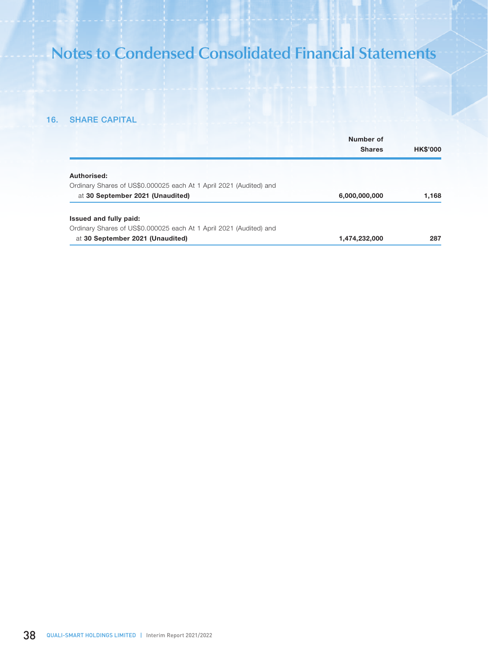# 16. SHARE CAPITAL

|                                                                    | Number of<br><b>Shares</b> | <b>HK\$'000</b> |
|--------------------------------------------------------------------|----------------------------|-----------------|
| Authorised:                                                        |                            |                 |
| Ordinary Shares of US\$0.000025 each At 1 April 2021 (Audited) and |                            |                 |
| at 30 September 2021 (Unaudited)                                   | 6,000,000,000              | 1,168           |
| Issued and fully paid:                                             |                            |                 |
| Ordinary Shares of US\$0.000025 each At 1 April 2021 (Audited) and |                            |                 |
| at 30 September 2021 (Unaudited)                                   | 1,474,232,000              | 287             |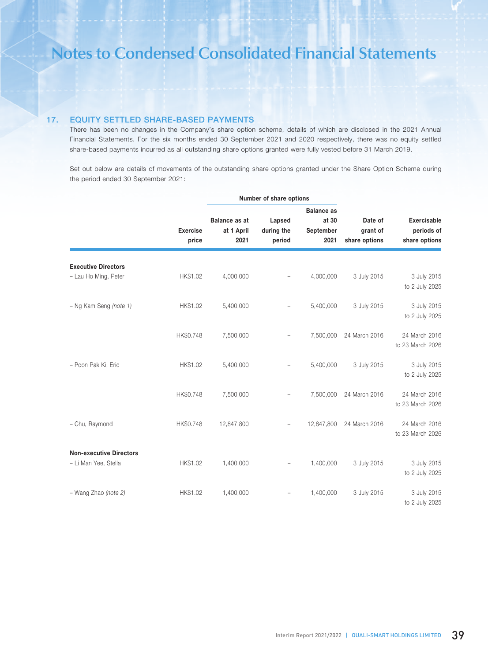# 17. EQUITY SETTLED SHARE-BASED PAYMENTS

There has been no changes in the Company's share option scheme, details of which are disclosed in the 2021 Annual Financial Statements. For the six months ended 30 September 2021 and 2020 respectively, there was no equity settled share-based payments incurred as all outstanding share options granted were fully vested before 31 March 2019.

Set out below are details of movements of the outstanding share options granted under the Share Option Scheme during the period ended 30 September 2021:

|                                                        |                          |                                            | Number of share options        |                                                 |                                      |                                                   |
|--------------------------------------------------------|--------------------------|--------------------------------------------|--------------------------------|-------------------------------------------------|--------------------------------------|---------------------------------------------------|
|                                                        | <b>Exercise</b><br>price | <b>Balance as at</b><br>at 1 April<br>2021 | Lapsed<br>during the<br>period | <b>Balance as</b><br>at 30<br>September<br>2021 | Date of<br>grant of<br>share options | <b>Exercisable</b><br>periods of<br>share options |
| <b>Executive Directors</b><br>- Lau Ho Ming, Peter     | HK\$1.02                 | 4,000,000                                  |                                | 4,000,000                                       | 3 July 2015                          | 3 July 2015<br>to 2 July 2025                     |
| - Ng Kam Seng (note 1)                                 | HK\$1.02                 | 5,400,000                                  |                                | 5,400,000                                       | 3 July 2015                          | 3 July 2015<br>to 2 July 2025                     |
|                                                        | HK\$0.748                | 7,500,000                                  |                                | 7,500,000                                       | 24 March 2016                        | 24 March 2016<br>to 23 March 2026                 |
| - Poon Pak Ki, Eric                                    | HK\$1.02                 | 5,400,000                                  |                                | 5,400,000                                       | 3 July 2015                          | 3 July 2015<br>to 2 July 2025                     |
|                                                        | HK\$0.748                | 7,500,000                                  |                                | 7,500,000                                       | 24 March 2016                        | 24 March 2016<br>to 23 March 2026                 |
| - Chu, Raymond                                         | HK\$0.748                | 12,847,800                                 |                                | 12,847,800                                      | 24 March 2016                        | 24 March 2016<br>to 23 March 2026                 |
| <b>Non-executive Directors</b><br>- Li Man Yee, Stella | HK\$1.02                 | 1,400,000                                  |                                | 1,400,000                                       | 3 July 2015                          | 3 July 2015<br>to 2 July 2025                     |
| - Wang Zhao (note 2)                                   | HK\$1.02                 | 1,400,000                                  |                                | 1,400,000                                       | 3 July 2015                          | 3 July 2015<br>to 2 July 2025                     |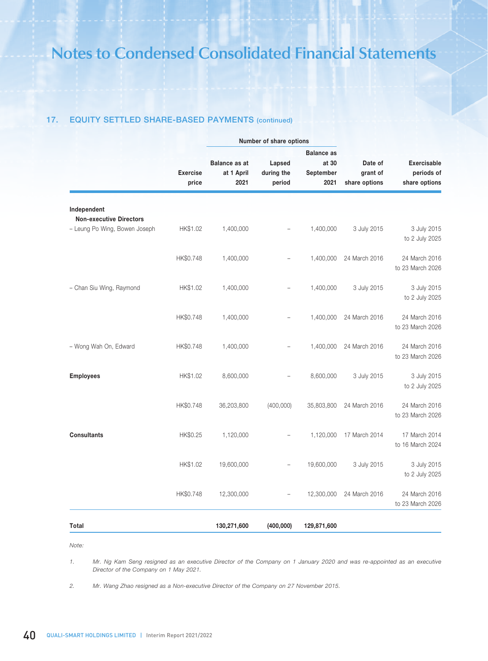# 17. EQUITY SETTLED SHARE-BASED PAYMENTS (continued)

|                                                                 | <b>Exercise</b> |                      | Number of share options |                    |                     |                                   |  |
|-----------------------------------------------------------------|-----------------|----------------------|-------------------------|--------------------|---------------------|-----------------------------------|--|
|                                                                 |                 |                      |                         |                    | <b>Balance as</b>   |                                   |  |
|                                                                 |                 | <b>Balance as at</b> | Lapsed<br>during the    | at 30<br>September | Date of<br>grant of | <b>Exercisable</b><br>periods of  |  |
|                                                                 | price           | at 1 April<br>2021   | period                  | 2021               | share options       | share options                     |  |
| Independent                                                     |                 |                      |                         |                    |                     |                                   |  |
| <b>Non-executive Directors</b><br>- Leung Po Wing, Bowen Joseph | HK\$1.02        | 1,400,000            |                         | 1,400,000          | 3 July 2015         | 3 July 2015<br>to 2 July 2025     |  |
|                                                                 | HK\$0.748       | 1,400,000            |                         | 1,400,000          | 24 March 2016       | 24 March 2016<br>to 23 March 2026 |  |
| - Chan Siu Wing, Raymond                                        | HK\$1.02        | 1,400,000            |                         | 1,400,000          | 3 July 2015         | 3 July 2015<br>to 2 July 2025     |  |
|                                                                 | HK\$0.748       | 1,400,000            |                         | 1,400,000          | 24 March 2016       | 24 March 2016<br>to 23 March 2026 |  |
| - Wong Wah On, Edward                                           | HK\$0.748       | 1,400,000            |                         | 1,400,000          | 24 March 2016       | 24 March 2016<br>to 23 March 2026 |  |
| <b>Employees</b>                                                | HK\$1.02        | 8,600,000            |                         | 8,600,000          | 3 July 2015         | 3 July 2015<br>to 2 July 2025     |  |
|                                                                 | HK\$0.748       | 36,203,800           | (400,000)               | 35,803,800         | 24 March 2016       | 24 March 2016<br>to 23 March 2026 |  |
| <b>Consultants</b>                                              | HK\$0.25        | 1,120,000            |                         | 1,120,000          | 17 March 2014       | 17 March 2014<br>to 16 March 2024 |  |
|                                                                 | HK\$1.02        | 19,600,000           |                         | 19,600,000         | 3 July 2015         | 3 July 2015<br>to 2 July 2025     |  |
|                                                                 | HK\$0.748       | 12,300,000           |                         | 12,300,000         | 24 March 2016       | 24 March 2016<br>to 23 March 2026 |  |
| Total                                                           |                 | 130,271,600          | (400,000)               | 129,871,600        |                     |                                   |  |

*Note:*

*1. Mr. Ng Kam Seng resigned as an executive Director of the Company on 1 January 2020 and was re-appointed as an executive Director of the Company on 1 May 2021.*

*2. Mr. Wang Zhao resigned as a Non-executive Director of the Company on 27 November 2015.*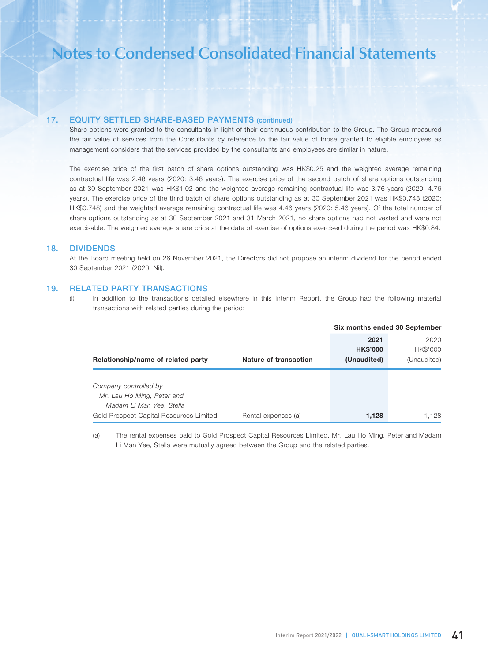## 17. EQUITY SETTLED SHARE-BASED PAYMENTS (continued)

Share options were granted to the consultants in light of their continuous contribution to the Group. The Group measured the fair value of services from the Consultants by reference to the fair value of those granted to eligible employees as management considers that the services provided by the consultants and employees are similar in nature.

The exercise price of the first batch of share options outstanding was HK\$0.25 and the weighted average remaining contractual life was 2.46 years (2020: 3.46 years). The exercise price of the second batch of share options outstanding as at 30 September 2021 was HK\$1.02 and the weighted average remaining contractual life was 3.76 years (2020: 4.76 years). The exercise price of the third batch of share options outstanding as at 30 September 2021 was HK\$0.748 (2020: HK\$0.748) and the weighted average remaining contractual life was 4.46 years (2020: 5.46 years). Of the total number of share options outstanding as at 30 September 2021 and 31 March 2021, no share options had not vested and were not exercisable. The weighted average share price at the date of exercise of options exercised during the period was HK\$0.84.

### 18. DIVIDENDS

At the Board meeting held on 26 November 2021, the Directors did not propose an interim dividend for the period ended 30 September 2021 (2020: Nil).

### 19. RELATED PARTY TRANSACTIONS

(i) In addition to the transactions detailed elsewhere in this Interim Report, the Group had the following material transactions with related parties during the period:

|                                         |                       | Six months ended 30 September |             |
|-----------------------------------------|-----------------------|-------------------------------|-------------|
|                                         |                       | 2021                          | 2020        |
|                                         |                       | <b>HK\$'000</b>               | HK\$'000    |
| Relationship/name of related party      | Nature of transaction | (Unaudited)                   | (Unaudited) |
|                                         |                       |                               |             |
| Company controlled by                   |                       |                               |             |
| Mr. Lau Ho Ming, Peter and              |                       |                               |             |
| Madam Li Man Yee, Stella                |                       |                               |             |
| Gold Prospect Capital Resources Limited | Rental expenses (a)   | 1,128                         | 1.128       |

(a) The rental expenses paid to Gold Prospect Capital Resources Limited, Mr. Lau Ho Ming, Peter and Madam Li Man Yee, Stella were mutually agreed between the Group and the related parties.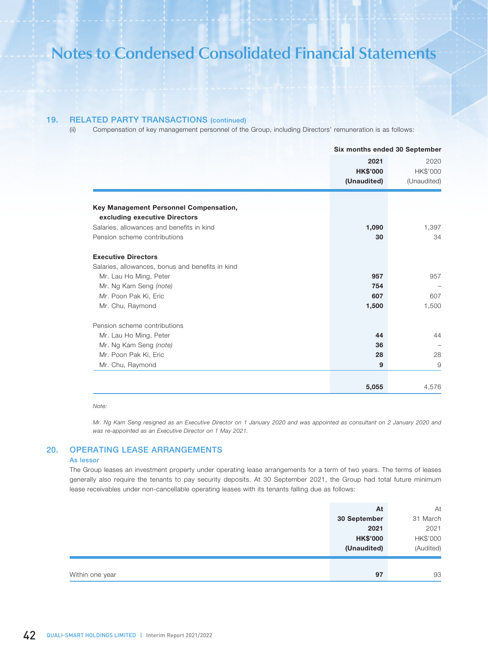## 19. RELATED PARTY TRANSACTIONS (continued)

(ii) Compensation of key management personnel of the Group, including Directors' remuneration is as follows:

|                                                                         |                 | Six months ended 30 September |  |  |
|-------------------------------------------------------------------------|-----------------|-------------------------------|--|--|
|                                                                         | 2021            | 2020                          |  |  |
|                                                                         | <b>HK\$'000</b> | HK\$'000                      |  |  |
|                                                                         | (Unaudited)     | (Unaudited)                   |  |  |
|                                                                         |                 |                               |  |  |
| Key Management Personnel Compensation,<br>excluding executive Directors |                 |                               |  |  |
| Salaries, allowances and benefits in kind                               | 1,090           | 1,397                         |  |  |
| Pension scheme contributions                                            | 30              | 34                            |  |  |
| <b>Executive Directors</b>                                              |                 |                               |  |  |
| Salaries, allowances, bonus and benefits in kind                        |                 |                               |  |  |
| Mr. Lau Ho Ming, Peter                                                  | 957             | 957                           |  |  |
| Mr. Ng Kam Seng (note)                                                  | 754             |                               |  |  |
| Mr. Poon Pak Ki, Eric                                                   | 607             | 607                           |  |  |
| Mr. Chu, Raymond                                                        | 1,500           | 1,500                         |  |  |
| Pension scheme contributions                                            |                 |                               |  |  |
| Mr. Lau Ho Ming, Peter                                                  | 44              | 44                            |  |  |
| Mr. Ng Kam Seng (note)                                                  | 36              |                               |  |  |
| Mr. Poon Pak Ki, Eric                                                   | 28              | 28                            |  |  |
| Mr. Chu, Raymond                                                        | 9               | 9                             |  |  |
|                                                                         |                 |                               |  |  |
|                                                                         | 5,055           | 4,576                         |  |  |

#### *Note:*

*Mr. Ng Kam Seng resigned as an Executive Director on 1 January 2020 and was appointed as consultant on 2 January 2020 and was re-appointed as an Executive Director on 1 May 2021.*

# 20. OPERATING LEASE ARRANGEMENTS

### As lessor

The Group leases an investment property under operating lease arrangements for a term of two years. The terms of leases generally also require the tenants to pay security deposits. At 30 September 2021, the Group had total future minimum lease receivables under non-cancellable operating leases with its tenants falling due as follows:

|                 | At              | At        |
|-----------------|-----------------|-----------|
|                 | 30 September    | 31 March  |
|                 | 2021            | 2021      |
|                 | <b>HK\$'000</b> | HK\$'000  |
|                 | (Unaudited)     | (Audited) |
|                 |                 |           |
| Within one year | 97              | 93        |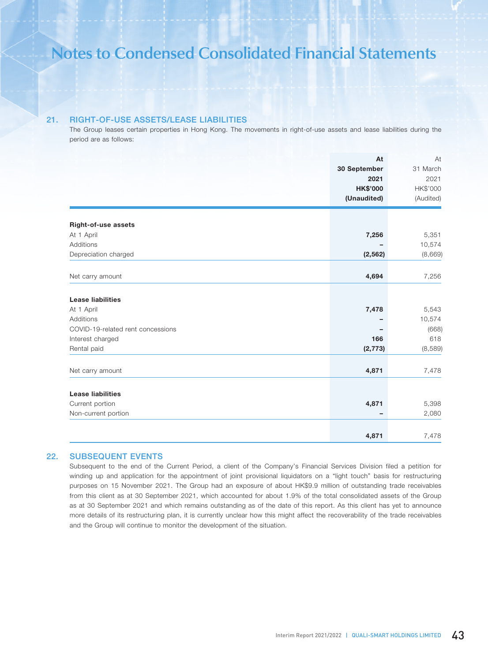# 21. RIGHT-OF-USE ASSETS/LEASE LIABILITIES

The Group leases certain properties in Hong Kong. The movements in right-of-use assets and lease liabilities during the period are as follows:

| 31 March<br>2021<br>HK\$'000<br>(Audited) |
|-------------------------------------------|
|                                           |
|                                           |
|                                           |
|                                           |
|                                           |
| 5,351                                     |
| 10,574                                    |
| (8,669)                                   |
|                                           |
| 7,256                                     |
|                                           |
| 5,543                                     |
| 10,574                                    |
| (668)                                     |
| 618                                       |
| (8,589)                                   |
| 7,478                                     |
|                                           |
|                                           |
| 5,398                                     |
| 2,080                                     |
| 7,478                                     |
|                                           |

# 22. SUBSEQUENT EVENTS

Subsequent to the end of the Current Period, a client of the Company's Financial Services Division filed a petition for winding up and application for the appointment of joint provisional liquidators on a "light touch" basis for restructuring purposes on 15 November 2021. The Group had an exposure of about HK\$9.9 million of outstanding trade receivables from this client as at 30 September 2021, which accounted for about 1.9% of the total consolidated assets of the Group as at 30 September 2021 and which remains outstanding as of the date of this report. As this client has yet to announce more details of its restructuring plan, it is currently unclear how this might affect the recoverability of the trade receivables and the Group will continue to monitor the development of the situation.